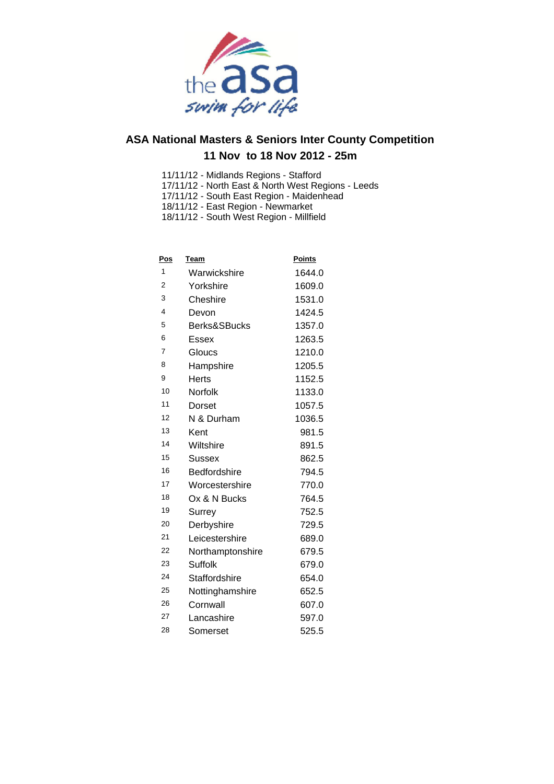

- 11/11/12 Midlands Regions Stafford
- 17/11/12 North East & North West Regions Leeds
- 17/11/12 South East Region Maidenhead
- 18/11/12 East Region Newmarket
- 18/11/12 South West Region Millfield

| <u>Pos</u> | Team                | <b>Points</b> |
|------------|---------------------|---------------|
| 1          | Warwickshire        | 1644.0        |
| 2          | Yorkshire           | 1609.0        |
| 3          | Cheshire            | 1531.0        |
| 4          | Devon               | 1424.5        |
| 5          | Berks&SBucks        | 1357.0        |
| 6          | Essex               | 1263.5        |
| 7          | Gloucs              | 1210.0        |
| 8          | Hampshire           | 1205.5        |
| 9          | <b>Herts</b>        | 1152.5        |
| 10         | Norfolk             | 1133.0        |
| 11         | Dorset              | 1057.5        |
| 12         | N & Durham          | 1036.5        |
| 13         | Kent                | 981.5         |
| 14         | Wiltshire           | 891.5         |
| 15         | Sussex              | 862.5         |
| 16         | <b>Bedfordshire</b> | 794.5         |
| 17         | Worcestershire      | 770.0         |
| 18         | Ox & N Bucks        | 764.5         |
| 19         | Surrey              | 752.5         |
| 20         | Derbyshire          | 729.5         |
| 21         | Leicestershire      | 689.0         |
| 22         | Northamptonshire    | 679.5         |
| 23         | Suffolk             | 679.0         |
| 24         | Staffordshire       | 654.0         |
| 25         | Nottinghamshire     | 652.5         |
| 26         | Cornwall            | 607.0         |
| 27         | Lancashire          | 597.0         |
| 28         | Somerset            | 525.5         |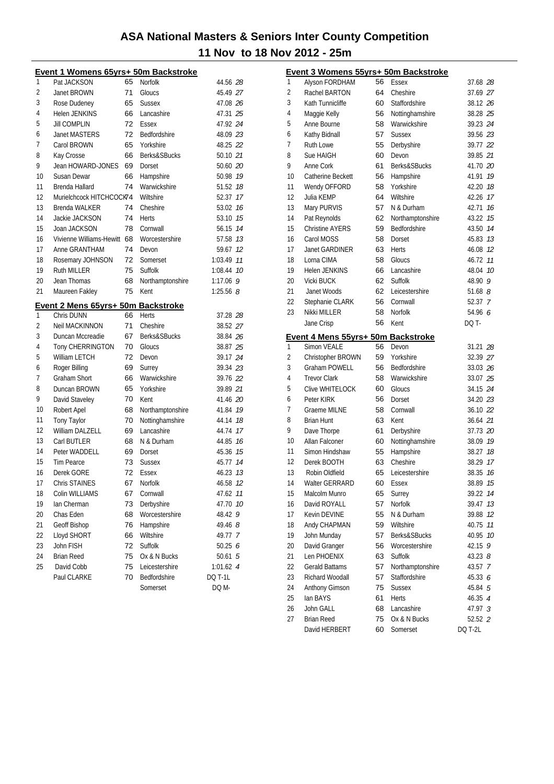|    | Event 1 Womens 65yrs+ 50m Backstroke |    |                               |                |
|----|--------------------------------------|----|-------------------------------|----------------|
| 1  | Pat JACKSON                          | 65 | Norfolk                       | 44.56 28       |
| 2  | Janet BROWN                          | 71 | Gloucs                        | 45.49 27       |
| 3  | Rose Dudeney                         | 65 | <b>Sussex</b>                 | 47.08 26       |
| 4  | <b>Helen JENKINS</b>                 | 66 | Lancashire                    | 47.31 25       |
| 5  | <b>Jill COMPLIN</b>                  | 72 | Essex                         | 47.92 24       |
| 6  | <b>Janet MASTERS</b>                 | 72 | Bedfordshire                  | 48.09 23       |
| 7  | Carol BROWN                          | 65 | Yorkshire                     | 48.25 22       |
| 8  | Kay Crosse                           | 66 | Berks&SBucks                  | 50.10 21       |
| 9  | Jean HOWARD-JONES                    | 69 | Dorset                        | 50.60 20       |
| 10 | Susan Dewar                          | 66 | Hampshire                     | 50.98 19       |
| 11 | Brenda Hallard                       | 74 | Warwickshire                  | 51.52 18       |
| 12 | Murielchcock HITCHCOCK74             |    | Wiltshire                     | 52.37 17       |
| 13 | <b>Brenda WALKER</b>                 | 74 | Cheshire                      | 53.02 76       |
| 14 | Jackie JACKSON                       | 74 | Herts                         | 53.10 15       |
| 15 | Joan JACKSON                         | 78 | Cornwall                      | 56.15 14       |
| 16 | Vivienne Williams-Hewitt 68          |    | Worcestershire                | 57.58 13       |
| 17 | Anne GRANTHAM                        | 74 | Devon                         | 59.67 12       |
| 18 | Rosemary JOHNSON                     | 72 | Somerset                      | 1:03.49 77     |
| 19 | <b>Ruth MILLER</b>                   | 75 | Suffolk                       | 1:08.44 10     |
| 20 | Jean Thomas                          | 68 | Northamptonshire              | $1:17.06$ 9    |
| 21 | Maureen Fakley                       | 75 | Kent                          | 1:25.56 $8$    |
|    | Event 2 Mens 65yrs+ 50m Backstroke   |    |                               |                |
| 1  | Chris DUNN                           | 66 | <b>Herts</b>                  | 37.28 28       |
| 2  | <b>Neil MACKINNON</b>                | 71 | Cheshire                      | 38.52 27       |
| 3  | Duncan Mccreadie                     | 67 | Berks&SBucks                  | 38.84 26       |
| 4  | Tony CHERRINGTON                     | 70 | Gloucs                        | 38.87 25       |
| 5  | <b>William LETCH</b>                 | 72 | Devon                         | 39.17 24       |
| 6  | Roger Billing                        | 69 | Surrey                        | 39.34 23       |
| 7  | <b>Graham Short</b>                  | 66 | Warwickshire                  | 39.76 22       |
| 8  | Duncan BROWN                         | 65 | Yorkshire                     | 39.89 21       |
| 9  |                                      | 70 |                               | 41.46 20       |
| 10 | David Staveley                       |    | Kent                          |                |
|    | Robert Apel                          | 68 | Northamptonshire              | 41.84 19       |
| 11 | Tony Taylor                          | 70 | Nottinghamshire<br>Lancashire | 44.14 18       |
| 12 | William DALZELL                      | 69 |                               | 44.74 17       |
| 13 | Carl BUTLER                          | 68 | N & Durham                    | 44.85 16       |
| 14 | Peter WADDELL                        | 69 | Dorset                        | 45.36 15       |
| 15 | <b>Tim Pearce</b>                    | 73 | <b>Sussex</b>                 | 45.77 14       |
| 16 | Derek GORE                           | 72 | <b>Essex</b>                  | 46.23 13       |
| 17 | Chris STAINES                        | 67 | Norfolk                       | 46.58 12       |
| 18 | Colin WILLIAMS                       | 67 | Cornwall                      | 47.62 11       |
| 19 | Ian Cherman                          | 73 | Derbyshire                    | 47.70 10       |
| 20 | Chas Eden                            | 68 | Worcestershire                | 48.42<br>9     |
| 21 | Geoff Bishop                         | 76 | Hampshire                     | 49.46 8        |
| 22 | Lloyd SHORT                          | 66 | Wiltshire                     | 49.77 7        |
| 23 | John FISH                            | 72 | Suffolk                       | 50.25 $6$      |
| 24 | <b>Brian Reed</b>                    | 75 | Ox & N Bucks                  | 50.61 5        |
| 25 | David Cobb                           | 75 | Leicestershire                | $1:01.62$ 4    |
|    | Paul CLARKE                          | 70 | Bedfordshire                  | <b>DQ T-1L</b> |
|    |                                      |    | Somerset                      | DQ M-          |

|              | Event 3 Womens 55yrs+ 50m Backstroke                     |          |                         |                    |    |
|--------------|----------------------------------------------------------|----------|-------------------------|--------------------|----|
| $\mathbf{1}$ | Alyson FORDHAM                                           | 56       | Essex                   | 37.68 28           |    |
| 2            | Rachel BARTON                                            | 64       | Cheshire                | 37.69 27           |    |
| 3            | Kath Tunnicliffe                                         | 60       | Staffordshire           | 38.12 26           |    |
| 4            | Maggie Kelly                                             | 56       | Nottinghamshire         | 38.28 25           |    |
| 5            | Anne Bourne                                              | 58       | Warwickshire            | 39.23 24           |    |
| 6            | Kathy Bidnall                                            | 57       | <b>Sussex</b>           | 39.56 23           |    |
| 7            | <b>Ruth Lowe</b>                                         | 55       | Derbyshire              | 39.77 22           |    |
| 8            | Sue HAIGH                                                | 60       | Devon                   | 39.85 21           |    |
| 9            | Anne Cork                                                | 61       | <b>Berks&amp;SBucks</b> | 41.70 20           |    |
| 10           | Catherine Beckett                                        | 56       | Hampshire               | 41.91              | 19 |
| 11           | Wendy OFFORD                                             | 58       | Yorkshire               | 42.20              | 18 |
| 12           | Julia KEMP                                               | 64       | Wiltshire               | 42.26              | 17 |
| 13           | Mary PURVIS                                              | 57       | N & Durham              | 42.71              | 16 |
| 14           | Pat Reynolds                                             | 62       | Northamptonshire        | 43.22              | 15 |
| 15           | <b>Christine AYERS</b>                                   | 59       | Bedfordshire            | 43.50              | 14 |
| 16           | Carol MOSS                                               | 58       | Dorset                  | 45.83              | 13 |
| 17           | Janet GARDINER                                           | 63       | Herts                   | 46.08              | 12 |
| 18           | Lorna CIMA                                               | 58       | Gloucs                  | 46.72              | 11 |
| 19           | Helen JENKINS                                            | 66       | Lancashire              | 48.04              | 10 |
| 20           | <b>Vicki BUCK</b>                                        | 62       | Suffolk                 | 48.90              | 9  |
| 21           | Janet Woods                                              | 62       | Leicestershire          | 51.68 $8$          |    |
| 22           | Stephanie CLARK                                          | 56       | Cornwall                | 52.37 7            |    |
| 23           | Nikki MILLER                                             | 58       | <b>Norfolk</b>          | 54.96 6            |    |
|              | Jane Crisp                                               | 56       | Kent                    | DQ T-              |    |
|              |                                                          |          |                         |                    |    |
| 1            | Event 4 Mens 55yrs+ 50m Backstroke<br><b>Simon VEALE</b> | 56       | Devon                   | 31.21 28           |    |
| 2            | Christopher BROWN                                        | 59       | Yorkshire               | 32.39 27           |    |
| 3            | <b>Graham POWELL</b>                                     | 56       | Bedfordshire            | 33.03 26           |    |
| 4            | <b>Trevor Clark</b>                                      | 58       | Warwickshire            | 33.07 25           |    |
| 5            | Clive WHITELOCK                                          | 60       | Gloucs                  | 34.15 24           |    |
| 6            | Peter KIRK                                               | 56       | Dorset                  | 34.20 23           |    |
| 7            | Graeme MILNE                                             | 58       | Cornwall                | 36.10 22           |    |
| 8            | <b>Brian Hunt</b>                                        | 63       | Kent                    | 36.64 21           |    |
| 9            | Dave Thorpe                                              | 61       | Derbyshire              | 37.73 20           |    |
| 10           | Allan Falconer                                           | 60       | Nottinghamshire         | 38.09 19           |    |
| 11           | Simon Hindshaw                                           | 55       | Hampshire               | 38.27              | 18 |
| 12           | Derek BOOTH                                              | 63       | Cheshire                | 38.29              | 17 |
| 13           | Robin Oldfield                                           | 65       | Leicestershire          | 38.35              | 16 |
| 14           | Walter GERRARD                                           | 60       | Essex                   | 38.89 15           |    |
| 15           | Malcolm Munro                                            | 65       | Surrey                  | 39.22              | 14 |
| 16           | David ROYALL                                             | 57       | <b>Norfolk</b>          | 39.47              | 13 |
| 17           | Kevin DEVINE                                             | 55       | N & Durham              | 39.88              | 12 |
| 18           | Andy CHAPMAN                                             | 59       | Wiltshire               | 40.75              | 11 |
| 19           | John Munday                                              | 57       | Berks&SBucks            | 40.95              | 10 |
| 20           | David Granger                                            | 56       | Worcestershire          | 42.15 9            |    |
| 21           | Len PHOENIX                                              | 63       | Suffolk                 | $43.23$ $8$        |    |
| 22           | Gerald Battams                                           | 57       | Northamptonshire        |                    |    |
| 23           | Richard Woodall                                          |          | Staffordshire           | 43.57 7<br>45.33 6 |    |
| 24           | Anthony Gimson                                           | 57<br>75 | <b>Sussex</b>           | 45.84 5            |    |
| 25           | lan BAYS                                                 | 61       | Herts                   |                    |    |
| 26           | John GALL                                                | 68       | Lancashire              | 46.35 4<br>47.97 3 |    |
| 27           | <b>Brian Reed</b>                                        | 75       | Ox & N Bucks            | 52.52 2            |    |
|              | David HERBERT                                            | 60       | Somerset                | DQ T-2L            |    |
|              |                                                          |          |                         |                    |    |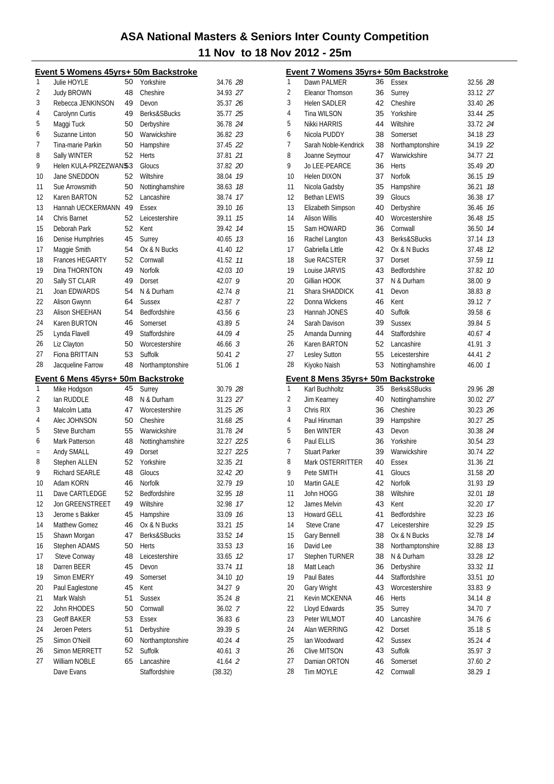|     | Event 5 Womens 45yrs+ 50m Backstroke |          |                             |                    |    |
|-----|--------------------------------------|----------|-----------------------------|--------------------|----|
| 1   | Julie HOYLE                          | 50       | Yorkshire                   | 34.76 28           |    |
| 2   | <b>Judy BROWN</b>                    | 48       | Cheshire                    | 34.93 27           |    |
| 3   | Rebecca JENKINSON                    | 49       | Devon                       | 35.37 26           |    |
| 4   | Carolynn Curtis                      | 49       | Berks&SBucks                | 35.77 25           |    |
| 5   | Maggi Tuck                           | 50       | Derbyshire                  | 36.78 24           |    |
| 6   | Suzanne Linton                       | 50       | Warwickshire                | 36.82 23           |    |
| 7   | Tina-marie Parkin                    | 50       | Hampshire                   | 37.45 22           |    |
| 8   | Sally WINTER                         | 52       | Herts                       | 37.81 21           |    |
| 9   | Helen KULA-PRZEZWAN\$3               |          | Gloucs                      | 37.82 20           |    |
| 10  | Jane SNEDDON                         | 52       | Wiltshire                   | 38.04 19           |    |
| 11  | Sue Arrowsmith                       | 50       | Nottinghamshire             | 38.63 18           |    |
| 12  | Karen BARTON                         | 52       | Lancashire                  | 38.74 17           |    |
| 13  | Hannah UECKERMANN                    | 49       | Essex                       | 39.10 16           |    |
| 14  | Chris Barnet                         | 52       | Leicestershire              | 39.11 15           |    |
| 15  | Deborah Park                         | 52       | Kent                        | 39.42 74           |    |
| 16  | Denise Humphries                     | 45       | Surrey                      | 40.65 13           |    |
| 17  | Maggie Smith                         | 54       | Ox & N Bucks                | 41.40 12           |    |
| 18  | <b>Frances HEGARTY</b>               | 52       | Cornwall                    | 41.52 11           |    |
| 19  | Dina THORNTON                        | 49       | Norfolk                     | 42.03 10           |    |
|     |                                      |          |                             |                    |    |
| 20  | Sally ST CLAIR                       | 49       | Dorset                      | 42.07 9            |    |
| 21  | Joan EDWARDS                         | 54       | N & Durham                  | 42.74 8            |    |
| 22  | Alison Gwynn                         | 64       | <b>Sussex</b>               | 42.87 7            |    |
| 23  | <b>Alison SHEEHAN</b>                | 54       | <b>Bedfordshire</b>         | 43.56 6            |    |
| 24  | Karen BURTON                         | 46       | Somerset                    | 43.89 5            |    |
| 25  | Lynda Flavell                        | 49       | Staffordshire               | 44.09 4            |    |
| 26  | Liz Clayton                          | 50       | Worcestershire              | $46.66 \, 3$       |    |
| 27  | Fiona BRITTAIN                       | 53       | Suffolk                     | 50.41 2            |    |
| 28  | Jacqueline Farrow                    | 48       | Northamptonshire            | 51.06 7            |    |
|     |                                      |          |                             |                    |    |
|     | Event 6 Mens 45yrs+ 50m Backstroke   |          |                             |                    |    |
| 1   | Mike Hodgson                         | 45       | Surrey                      | 30.79 28           |    |
| 2   | lan RUDDLE                           | 48       | N & Durham                  | 31.23 27           |    |
| 3   | Malcolm Latta                        | 47       | Worcestershire              | 31.25 26           |    |
| 4   | Alec JOHNSON                         | 50       | Cheshire                    | 31.68 25           |    |
| 5   | Steve Burcham                        | 55       | Warwickshire                | 31.78 24           |    |
| 6   | Mark Patterson                       | 48       | Nottinghamshire             | 32.27 22.5         |    |
| $=$ | Andy SMALL                           | 49       | Dorset                      | 32.27 22.5         |    |
| 8   |                                      | 52       | Yorkshire                   | 32.35 21           |    |
| 9   | Stephen ALLEN<br>Richard SEARLE      | 48       | Gloucs                      | 32.42 20           |    |
|     | Adam KORN                            | 46       |                             |                    |    |
| 10  |                                      |          | Norfolk                     | 32.79 19           |    |
| 11  | Dave CARTLEDGE                       | 52<br>49 | Bedfordshire                | 32.95 18           |    |
| 12  | Jon GREENSTREET                      |          | Wiltshire                   | 32.98              | 17 |
| 13  | Jerome s Bakker                      | 45       | Hampshire                   | 33.09              | 16 |
| 14  | Matthew Gomez                        | 46       | Ox & N Bucks                | 33.21              | 15 |
| 15  | Shawn Morgan                         | 47       | Berks&SBucks                | 33.52 14           |    |
| 16  | Stephen ADAMS                        | 50       | Herts                       | 33.53 13           |    |
| 17  | Steve Conway                         | 48       | Leicestershire              | 33.65              | 12 |
| 18  | Darren BEER                          | 45       | Devon                       | 33.74              | 11 |
| 19  | Simon EMERY                          | 49       | Somerset                    | 34.10 10           |    |
| 20  | Paul Eaglestone                      | 45       | Kent                        | 34.27 9            |    |
| 21  | Mark Walsh                           | 51       | <b>Sussex</b>               | $35.24$ $8$        |    |
| 22  | John RHODES                          | 50       | Cornwall                    | 36.02 7            |    |
| 23  | <b>Geoff BAKER</b>                   | 53       | Essex                       | 36.83 6            |    |
| 24  | Jeroen Peters                        | 51       | Derbyshire                  | 39.39 5            |    |
| 25  | Simon O'Neill                        | 60       | Northamptonshire            | 40.24 4            |    |
| 26  | Simon MERRETT                        | 52       | Suffolk                     | 40.613             |    |
| 27  | William NOBLE<br>Dave Evans          | 65       | Lancashire<br>Staffordshire | 41.64 2<br>(38.32) |    |

|    | Event 7 Womens 35yrs+ 50m Backstroke |          |                      |                    |    |
|----|--------------------------------------|----------|----------------------|--------------------|----|
| 1  | Dawn PALMER                          | 36       | Essex                | 32.56 28           |    |
| 2  | Eleanor Thomson                      | 36       | Surrey               | 33.12 27           |    |
| 3  | <b>Helen SADLER</b>                  | 42       | Cheshire             | 33.40 26           |    |
| 4  | Tina WILSON                          | 35       | Yorkshire            | 33.44 25           |    |
| 5  | Nikki HARRIS                         | 44       | Wiltshire            | 33.72 24           |    |
| 6  | Nicola PUDDY                         | 38       | Somerset             | 34.18 23           |    |
| 7  | Sarah Noble-Kendrick                 | 38       | Northamptonshire     | 34.19 22           |    |
| 8  | Joanne Seymour                       | 47       | Warwickshire         | 34.77 21           |    |
| 9  | Jo LEE-PEARCE                        | 36       | <b>Herts</b>         | 35.49 20           |    |
| 10 | Helen DIXON                          | 37       | Norfolk              | 36.15 19           |    |
| 11 | Nicola Gadsby                        | 35       | Hampshire            | 36.21              | 18 |
| 12 | <b>Bethan LEWIS</b>                  | 39       | Gloucs               | 36.38 17           |    |
| 13 | Elizabeth Simpson                    | 40       | Derbyshire           | 36.46 76           |    |
| 14 | Alison Willis                        | 40       | Worcestershire       | 36.48              | 15 |
| 15 | Sam HOWARD                           | 36       | Cornwall             | 36.50 74           |    |
| 16 | Rachel Langton                       | 43       | Berks&SBucks         | 37.14 13           |    |
| 17 | Gabriella Little                     | 42       | Ox & N Bucks         | 37.48 12           |    |
| 18 | Sue RACSTER                          | 37       | Dorset               | 37.59 11           |    |
| 19 | Louise JARVIS                        | 43       | Bedfordshire         | 37.82 10           |    |
| 20 | Gillian HOOK                         | 37       | N & Durham           | 38.00              | 9  |
| 21 | Shara SHADDICK                       | 41       | Devon                | 38.838             |    |
| 22 | Donna Wickens                        | 46       | Kent                 | 39.12 7            |    |
| 23 | Hannah JONES                         | 40       | Suffolk              | 39.58 6            |    |
| 24 | Sarah Davison                        | 39       | <b>Sussex</b>        | 39.84 5            |    |
| 25 | Amanda Dunning                       | 44       | Staffordshire        | 40.67 4            |    |
| 26 | Karen BARTON                         | 52       | Lancashire           | $41.91 \t3$        |    |
| 27 | Lesley Sutton                        | 55       | Leicestershire       | 44.41 2            |    |
| 28 | Kiyoko Naish                         | 53       | Nottinghamshire      | 46.00 7            |    |
|    |                                      |          |                      |                    |    |
|    | Event 8 Mens 35yrs+ 50m Backstroke   | 35       |                      |                    |    |
| 1  | Karl Buchholtz                       |          | Berks&SBucks         | 29.96 28           |    |
| 2  | Jim Kearney                          | 40       | Nottinghamshire      | 30.02 27           |    |
| 3  | Chris RIX                            | 36       | Cheshire             | 30.23 26           |    |
| 4  | Paul Hinxman                         | 39       | Hampshire            | 30.27 25           |    |
| 5  | <b>Ben WINTER</b>                    | 43       | Devon                | 30.38 24           |    |
| 6  | Paul ELLIS                           | 36       | Yorkshire            | 30.54 23           |    |
| 7  | <b>Stuart Parker</b>                 | 39       | Warwickshire         | 30.74 22           |    |
| 8  | Mark OSTERRITTER                     | 40       | Essex                | 31.36 21           |    |
| 9  | Pete SMITH                           | 41       | Gloucs               | 31.58 20           |    |
| 10 | Martin GALE                          | 42       | Norfolk              | 31.93 79           |    |
| 11 | John HOGG                            | 38       | Wiltshire            | 32.01              | 18 |
| 12 | James Melvin                         | 43       | Kent                 | 32.20              | 17 |
| 13 | <b>Howard GELL</b>                   | 41       | Bedfordshire         | 32.23              | 16 |
| 14 | <b>Steve Crane</b>                   | 47       | Leicestershire       | 32.29              | 15 |
| 15 | <b>Gary Bennell</b>                  | 38       | Ox & N Bucks         | 32.78              | 14 |
| 16 | David Lee                            | 38       | Northamptonshire     | 32.88              | 13 |
| 17 | Stephen TURNER                       | 38       | N & Durham           | 33.28              | 12 |
| 18 | Matt Leach                           | 36       | Derbyshire           | 33.32              | 11 |
| 19 | Paul Bates                           | 44       | Staffordshire        | 33.51              | 10 |
| 20 | Gary Wright                          | 43       | Worcestershire       | 33.83              | 9  |
| 21 | Kevin MCKENNA                        | 46       | <b>Herts</b>         | $34.14$ $8$        |    |
| 22 | Lloyd Edwards                        | 35       | Surrey               | 34.70 7            |    |
| 23 | Peter WILMOT                         | 40       | Lancashire           | 34.76 6            |    |
| 24 | Alan WERRING                         | 42       | Dorset               | 35.18 5            |    |
| 25 | Ian Woodward                         | 42       | <b>Sussex</b>        | 35.24 4            |    |
| 26 | Clive MITSON                         | 43       | Suffolk              | 35.97 <i>3</i>     |    |
| 27 |                                      |          |                      |                    |    |
| 28 | Damian ORTON<br>Tim MOYLE            | 46<br>42 | Somerset<br>Cornwall | 37.60 2<br>38.29 7 |    |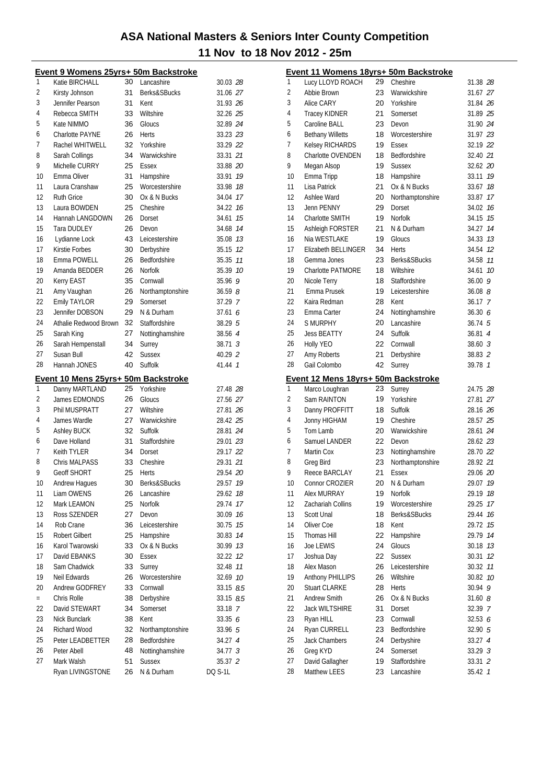|     | Event 9 Womens 25yrs+ 50m Backstroke |          |                             |                           |
|-----|--------------------------------------|----------|-----------------------------|---------------------------|
| 1   | Katie BIRCHALL                       | 30       | Lancashire                  | 30.03 28                  |
| 2   | Kirsty Johnson                       | 31       | Berks&SBucks                | 31.06 27                  |
| 3   | Jennifer Pearson                     | 31       | Kent                        | 31.93 26                  |
| 4   | Rebecca SMITH                        | 33       | Wiltshire                   | 32.26 25                  |
| 5   | Kate NIMMO                           | 36       | Gloucs                      | 32.89 24                  |
| 6   | <b>Charlotte PAYNE</b>               | 26       | Herts                       | 33.23 23                  |
| 7   | Rachel WHITWELL                      | 32       | Yorkshire                   | 33.29 22                  |
| 8   | Sarah Collings                       | 34       | Warwickshire                | 33.31 21                  |
| 9   | Michelle CURRY                       | 25       | Essex                       | 33.88 20                  |
| 10  | Emma Oliver                          | 31       | Hampshire                   | 33.91 19                  |
| 11  | Laura Cranshaw                       | 25       | Worcestershire              | 33.98 18                  |
| 12  | <b>Ruth Grice</b>                    | 30       | Ox & N Bucks                | 34.04 17                  |
| 13  | Laura BOWDEN                         | 25       | Cheshire                    | 34.22 16                  |
| 14  | Hannah LANGDOWN                      | 26       | Dorset                      | 34.61<br>15               |
| 15  | <b>Tara DUDLEY</b>                   | 26       | Devon                       | 34.68 14                  |
| 16  | Lydianne Lock                        | 43       | Leicestershire              | 35.08 73                  |
| 17  | Kirstie Forbes                       | 30       | Derbyshire                  | 35.15 12                  |
| 18  | Emma POWELL                          | 26       | Bedfordshire                | 35.35 77                  |
| 19  | Amanda BEDDER                        | 26       | Norfolk                     | 35.39 10                  |
| 20  | Kerry EAST                           | 35       | Cornwall                    | 35.969                    |
| 21  | Amy Vaughan                          | 26       | Northamptonshire            | 36.598                    |
| 22  | <b>Emily TAYLOR</b>                  | 29       | Somerset                    | 37.29 7                   |
| 23  | Jennifer DOBSON                      | 29       | N & Durham                  | 37.616                    |
| 24  | Athalie Redwood Brown                | 32       | Staffordshire               | 38.29 5                   |
| 25  | Sarah King                           | 27       | Nottinghamshire             | 38.56 4                   |
| 26  | Sarah Hempenstall                    | 34       | Surrey                      | $38.71 \t3$               |
| 27  | Susan Bull                           | 42       | <b>Sussex</b>               | 40.29 2                   |
| 28  | Hannah JONES                         | 40       | Suffolk                     | 41.44 7                   |
|     |                                      |          |                             |                           |
|     |                                      |          |                             |                           |
|     | Event 10 Mens 25yrs+ 50m Backstroke  |          |                             |                           |
| 1   | Danny MARTLAND                       | 25       | Yorkshire                   | 27.48 28                  |
| 2   | James EDMONDS                        | 26       | Gloucs                      | 27.56 27                  |
| 3   | Phil MUSPRATT                        | 27       | Wiltshire                   | 27.81 26                  |
| 4   | James Wardle                         | 27       | Warwickshire                | 28.42 25                  |
| 5   | <b>Ashley BUCK</b>                   | 32       | Suffolk                     | 28.81 24                  |
| 6   | Dave Holland                         | 31       | Staffordshire               | 29.01 23                  |
| 7   | Keith TYLER                          | 34       | Dorset                      | 29.17 22                  |
| 8   | <b>Chris MALPASS</b>                 | 33       | Cheshire                    | 29.31 21                  |
| 9   | <b>Geoff SHORT</b>                   | 25       | Herts                       | 29.54 20                  |
| 10  | Andrew Hagues                        | 30       | Berks&SBucks                | 29.57 19                  |
| 11  | Liam OWENS                           | 26       | Lancashire                  | 29.62 18                  |
| 12  | Mark LEAMON                          | 25       | Norfolk                     | 29.74 17                  |
| 13  | Ross SZENDER                         | 27       | Devon                       | 30.09 16                  |
| 14  | Rob Crane                            | 36       | Leicestershire              | 30.75 75                  |
| 15  | Robert Gilbert                       | 25       | Hampshire                   | 30.83 14                  |
| 16  | Karol Twarowski                      | 33       | Ox & N Bucks                | 30.99 13                  |
| 17  | David EBANKS                         | 30       | <b>Essex</b>                | 32.22 12                  |
| 18  | Sam Chadwick                         | 33       | Surrey                      | 32.48 77                  |
| 19  | Neil Edwards                         | 26       | Worcestershire              | 32.69 10                  |
| 20  | Andrew GODFREY                       | 33       | Cornwall                    | 33.15 8.5                 |
| $=$ | Chris Rolle                          | 38       | Derbyshire                  | 33.15 8.5                 |
| 22  | David STEWART                        | 34       | Somerset                    | 33.18 7                   |
| 23  | Nick Bunclark                        | 38       | Kent                        | 33.35 6                   |
| 24  | Richard Wood                         | 32       | Northamptonshire            | 33.96 5                   |
| 25  | Peter LEADBETTER                     | 28       | Bedfordshire                | 34.27 4                   |
| 26  | Peter Abell                          | 48       | Nottinghamshire             | 34.77 <i>3</i>            |
| 27  | Mark Walsh<br>Ryan LIVINGSTONE       | 51<br>26 | <b>Sussex</b><br>N & Durham | 35.37 2<br><b>DQ S-1L</b> |

|                | <u>Event 11 Womens 18yrs+ 50m Backstroke</u> |    |                  |                    |    |
|----------------|----------------------------------------------|----|------------------|--------------------|----|
| 1              | Lucy LLOYD ROACH                             | 29 | Cheshire         | 31.38 28           |    |
| 2              | Abbie Brown                                  | 23 | Warwickshire     | 31.67 27           |    |
| 3              | Alice CARY                                   | 20 | Yorkshire        | 31.84 26           |    |
| 4              | <b>Tracey KIDNER</b>                         | 21 | Somerset         | 31.89 25           |    |
| 5              | Caroline BALL                                | 23 | Devon            | 31.90 24           |    |
| 6              | <b>Bethany Willetts</b>                      | 18 | Worcestershire   | 31.97 23           |    |
| 7              | Kelsey RICHARDS                              | 19 | Essex            | 32.19 22           |    |
| 8              | Charlotte OVENDEN                            | 18 | Bedfordshire     | 32.40 21           |    |
| 9              | Megan Alsop                                  | 19 | <b>Sussex</b>    | 32.62 20           |    |
| 10             | Emma Tripp                                   | 18 | Hampshire        | 33.11 19           |    |
| 11             | Lisa Patrick                                 | 21 | Ox & N Bucks     | 33.67 18           |    |
| 12             | Ashlee Ward                                  | 20 | Northamptonshire | 33.87 17           |    |
| 13             | Jenn PENNY                                   | 29 | Dorset           | 34.02 76           |    |
| 14             | Charlotte SMITH                              | 19 | Norfolk          | 34.15 75           |    |
| 15             | Ashleigh FORSTER                             | 21 | N & Durham       | 34.27 14           |    |
| 16             | Nia WESTLAKE                                 | 19 | Gloucs           | 34.33 73           |    |
| 17             | Elizabeth BELLINGER                          | 34 | Herts            | 34.54 12           |    |
| 18             | Gemma Jones                                  | 23 | Berks&SBucks     | 34.58 77           |    |
| 19             | <b>Charlotte PATMORE</b>                     | 18 | Wiltshire        | 34.61 10           |    |
| 20             | Nicole Terry                                 | 18 | Staffordshire    | 36.009             |    |
| 21             | Emma Prusek                                  | 19 | Leicestershire   | $36.08$ $8$        |    |
| 22             | Kaira Redman                                 | 28 | Kent             | $36.17 \, Z$       |    |
| 23             | Emma Carter                                  | 24 | Nottinghamshire  | 36.30 6            |    |
| 24             | <b>S MURPHY</b>                              | 20 | Lancashire       | $36.74\;\;5$       |    |
| 25             | <b>Jess BEATTY</b>                           | 24 | Suffolk          | 36.81 4            |    |
| 26             | Holly YEO                                    | 22 | Cornwall         | $38.60 \text{ } 3$ |    |
| 27             | Amy Roberts                                  | 21 | Derbyshire       | 38.83 2            |    |
| 28             | Gail Colombo                                 | 42 | Surrey           | 39.78 1            |    |
|                | Event 12 Mens 18yrs+ 50m Backstroke          |    |                  |                    |    |
| 1              | Marco Loughran                               | 23 | Surrey           | 24.75 28           |    |
| $\overline{2}$ | Sam RAINTON                                  | 19 | Yorkshire        | 27.81 27           |    |
| 3              | Danny PROFFITT                               | 18 | Suffolk          | 28.16 26           |    |
| 4              | Jonny HIGHAM                                 | 19 | Cheshire         | 28.57 25           |    |
| 5              | Tom Lamb                                     | 20 | Warwickshire     | 28.61 24           |    |
| 6              | Samuel LANDER                                | 22 | Devon            | 28.62 23           |    |
| 7              | Martin Cox                                   | 23 | Nottinghamshire  | 28.70 22           |    |
| 8              | Greg Bird                                    | 23 | Northamptonshire | 28.92 21           |    |
| 9              | Reece BARCLAY                                | 21 | <b>Essex</b>     | 29.06 20           |    |
| 10             | Connor CROZIER                               | 20 | N & Durham       | 29.07 19           |    |
| 11             | Alex MURRAY                                  | 19 | Norfolk          | 29.19              | 18 |
| 12             | Zachariah Collins                            | 19 | Worcestershire   | 29.25              | 17 |
| 13             | Scott Unal                                   | 18 | Berks&SBucks     | 29.44              | 16 |
| 14             | Oliver Coe                                   | 18 | Kent             | 29.72              | 15 |
| 15             | Thomas Hill                                  | 22 | Hampshire        | 29.79              | 14 |
| 16             | Joe LEWIS                                    | 24 | Gloucs           | 30.18              | 13 |
| 17             | Joshua Day                                   | 22 | <b>Sussex</b>    | 30.31              | 12 |
| 18             | Alex Mason                                   | 26 | Leicestershire   | 30.32              | 11 |
| 19             | Anthony PHILLIPS                             | 26 | Wiltshire        | 30.82              | 10 |
| 20             | <b>Stuart CLARKE</b>                         | 28 | Herts            | 30.94              | 9  |
| 21             | Andrew Smith                                 | 26 | Ox & N Bucks     | 31.608             |    |
| 22             | <b>Jack WILTSHIRE</b>                        | 31 | Dorset           | 32.39 7            |    |
| 23             | Ryan HILL                                    | 23 | Cornwall         | 32.536             |    |
| 24             | Ryan CURRELL                                 | 23 | Bedfordshire     | 32.90 5            |    |
| 25             | <b>Jack Chambers</b>                         | 24 | Derbyshire       | 33.27 4            |    |
| 26             | Greg KYD                                     | 24 | Somerset         | 33.29 3            |    |
| 27             | David Gallagher                              | 19 | Staffordshire    | 33.31 2            |    |
| 28             | Matthew LEES                                 | 23 | Lancashire       | 35.42 7            |    |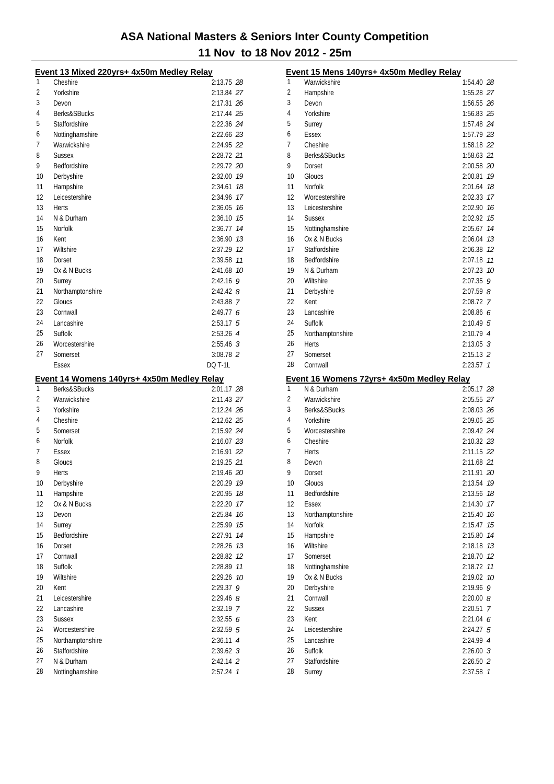|          | Event 13 Mixed 220yrs+ 4x50m Medley Relay                  |                          |    |
|----------|------------------------------------------------------------|--------------------------|----|
| 1        | Cheshire                                                   | 2:13.75 28               |    |
| 2        | Yorkshire                                                  | 2:13.84 27               |    |
| 3        | Devon                                                      | 2:17.31 26               |    |
| 4        | Berks&SBucks                                               | 2:17.44 25               |    |
| 5        | Staffordshire                                              | 2:22.36 24               |    |
| 6        | Nottinghamshire                                            | 2:22.66 23               |    |
| 7        | Warwickshire                                               | 2:24.95 22               |    |
| 8        | <b>Sussex</b>                                              | 2:28.72 21               |    |
| 9        | Bedfordshire                                               | 2:29.72 20               |    |
| 10       | Derbyshire                                                 | 2:32.00 19               |    |
| 11       | Hampshire                                                  | 2:34.61 18               |    |
| 12       | Leicestershire                                             | 2:34.96 17               |    |
| 13       | Herts                                                      | 2:36.05 76               |    |
| 14       | N & Durham                                                 | 2:36.10 75               |    |
| 15       | <b>Norfolk</b>                                             | 2:36.77 14               |    |
| 16       | Kent                                                       | 2:36.90 73               |    |
| 17       | Wiltshire                                                  | 2:37.29 12               |    |
| 18       | Dorset                                                     | 2:39.58 11               |    |
| 19       | Ox & N Bucks                                               | 2:41.68 10               |    |
| 20       | Surrey                                                     | 2:42.16 9                |    |
| 21       | Northamptonshire                                           | $2:42.42$ 8              |    |
| 22       | Gloucs                                                     | 2:43.88 7                |    |
| 23       | Cornwall                                                   | 2:49.776                 |    |
| 24       | Lancashire                                                 | $2:53.17$ 5              |    |
| 25       | Suffolk                                                    | 2:53.26 4                |    |
| 26       | Worcestershire                                             | $2:55.46$ 3              |    |
| 27       | Somerset                                                   | $3:08.78$ 2              |    |
|          | Essex                                                      | DQ T-1L                  |    |
|          |                                                            |                          |    |
| 1        | Event 14 Womens 140yrs+ 4x50m Medley Relay<br>Berks&SBucks | 2:01.17 28               |    |
| 2        | Warwickshire                                               | 2:11.43 27               |    |
| 3        | Yorkshire                                                  | 2:12.24 26               |    |
| 4        | Cheshire                                                   |                          |    |
|          |                                                            |                          |    |
|          |                                                            | 2:12.62 25               |    |
| 5        | Somerset                                                   | 2:15.92 24               |    |
| 6        | <b>Norfolk</b>                                             | 2:16.07 23               |    |
| 7        | Essex                                                      | 2:16.91 22               |    |
| 8        | Gloucs                                                     | 2:19.25 21               |    |
| 9        | Herts                                                      | 2:19.46 20               |    |
| 10       | Derbyshire                                                 | 2:20.29 19               |    |
| 11       | Hampshire                                                  | 2:20.95 78               |    |
| 12       | Ox & N Bucks                                               | 2:22.20 17               |    |
| 13       | Devon                                                      | 2:25.84                  | 16 |
| 14       | Surrey                                                     | 2:25.99 15               |    |
| 15       | Bedfordshire                                               | 2:27.91                  | 14 |
| 16       | Dorset                                                     | 2:28.26 73               |    |
| 17       | Cornwall                                                   | 2:28.82 12               |    |
| 18       | Suffolk                                                    | 2:28.89 11               |    |
| 19       | Wiltshire                                                  | 2:29.26 10               |    |
| 20       | Kent                                                       | 2:29.37                  | 9  |
| 21       | Leicestershire                                             | $2:29.46$ 8              |    |
| 22       | Lancashire                                                 | 2:32.19 7                |    |
| 23       | <b>Sussex</b>                                              | 2:32.556                 |    |
| 24       | Worcestershire                                             | $2:32.59$ 5              |    |
| 25       | Northamptonshire                                           | $2:36.11$ 4              |    |
| 26       | Staffordshire                                              | $2:39.62 \text{ } 3$     |    |
| 27<br>28 | N & Durham<br>Nottinghamshire                              | $2:42.14$ 2<br>2:57.24 1 |    |

|    | Event 15 Mens 140yrs+ 4x50m Medley Relay                |               |    |
|----|---------------------------------------------------------|---------------|----|
| 1  | Warwickshire                                            | 1:54.40 28    |    |
| 2  | Hampshire                                               | 1:55.28 27    |    |
| 3  | Devon                                                   | 1:56.55 26    |    |
| 4  | Yorkshire                                               | 1:56.83 25    |    |
| 5  | Surrey                                                  | 1:57.48 24    |    |
| 6  | Essex                                                   | 1:57.79 23    |    |
| 7  | Cheshire                                                | 1:58.18 22    |    |
| 8  | Berks&SBucks                                            | 1:58.63 21    |    |
| 9  | Dorset                                                  | 2:00.58 20    |    |
| 10 | Gloucs                                                  | 2:00.81       | 19 |
| 11 | <b>Norfolk</b>                                          | 2:01.64       | 18 |
| 12 | Worcestershire                                          | 2:02.33       | 17 |
| 13 | Leicestershire                                          | 2:02.90       | 16 |
| 14 | <b>Sussex</b>                                           | 2:02.92       | 15 |
| 15 | Nottinghamshire                                         | 2:05.67       | 14 |
| 16 | Ox & N Bucks                                            | 2:06.04       | 13 |
| 17 | Staffordshire                                           | 2:06.38       | 12 |
| 18 | Bedfordshire                                            | 2:07.18       | 11 |
| 19 | N & Durham                                              | 2:07.23       | 10 |
| 20 | Wiltshire                                               | 2:07.35       | 9  |
| 21 | Derbyshire                                              | $2:07.59$ $8$ |    |
| 22 | Kent                                                    | 2:08.72 7     |    |
| 23 | Lancashire                                              | 2:08.866      |    |
| 24 | Suffolk                                                 | 2:10.49 5     |    |
| 25 | Northamptonshire                                        | 2:10.79 4     |    |
| 26 | <b>Herts</b>                                            | $2:13.05$ 3   |    |
| 27 | Somerset                                                | $2:15.13$ 2   |    |
| 28 | Cornwall                                                | $2:23.57$ 1   |    |
|    |                                                         |               |    |
|    |                                                         |               |    |
| 1  | Event 16 Womens 72yrs+ 4x50m Medley Relay<br>N & Durham | 2:05.17 28    |    |
| 2  | Warwickshire                                            | 2:05.55 27    |    |
| 3  | Berks&SBucks                                            | 2:08.03 26    |    |
| 4  | Yorkshire                                               | 2:09.05 25    |    |
| 5  | Worcestershire                                          | 2:09.42 24    |    |
| 6  | Cheshire                                                | 2:10.32 23    |    |
| 7  | Herts                                                   | 2:11.15 22    |    |
| 8  | Devon                                                   | 2:11.68 21    |    |
| 9  | Dorset                                                  | 2:11.91 20    |    |
| 10 | Gloucs                                                  | 2:13.54 79    |    |
| 11 | Bedfordshire                                            | 2:13.56 78    |    |
| 12 | <b>Essex</b>                                            | 2:14.30       | 17 |
| 13 | Northamptonshire                                        | 2:15.40       | 16 |
| 14 | Norfolk                                                 | 2:15.47       | 15 |
| 15 | Hampshire                                               | 2:15.80       | 14 |
| 16 | Wiltshire                                               | 2:18.18       | 13 |
| 17 | Somerset                                                | 2:18.70 12    |    |
| 18 | Nottinghamshire                                         | 2:18.72       | 11 |
| 19 | Ox & N Bucks                                            | 2:19.02 10    |    |
| 20 | Derbyshire                                              | 2:19.96       | 9  |
| 21 | Cornwall                                                | 2:20.008      |    |
| 22 | <b>Sussex</b>                                           | $2:20.51$ 7   |    |
| 23 | Kent                                                    | 2:21.04 6     |    |
| 24 | Leicestershire                                          | $2:24.27$ 5   |    |
| 25 | Lancashire                                              | 2:24.99 4     |    |
| 26 | Suffolk                                                 | 2:26.003      |    |
| 27 | Staffordshire                                           | 2:26.50 2     |    |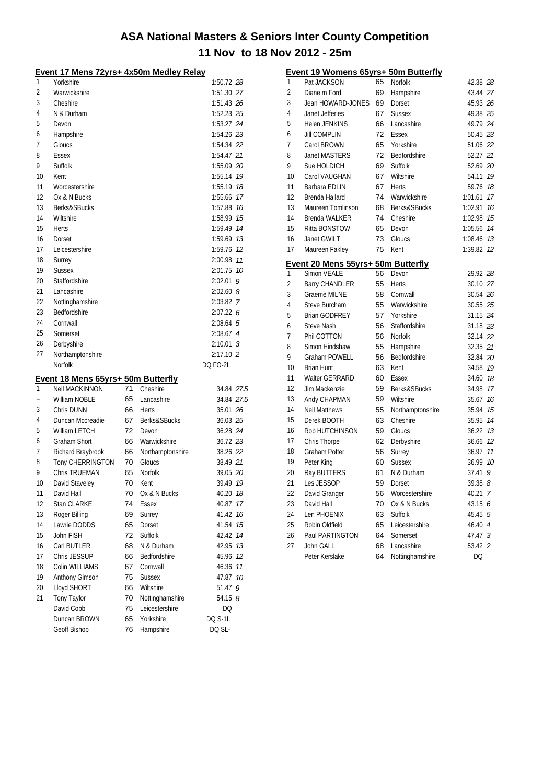|     | Event 17 Mens 72yrs+ 4x50m Medley Relay |    |                  |               |
|-----|-----------------------------------------|----|------------------|---------------|
| 1   | Yorkshire                               |    |                  | 1:50.72 28    |
| 2   | Warwickshire                            |    |                  | 1:51.30 27    |
| 3   | Cheshire                                |    |                  | 1:51.43 26    |
| 4   | N & Durham                              |    |                  | 1:52.23 25    |
| 5   | Devon                                   |    |                  | 1:53.27 24    |
| 6   | Hampshire                               |    |                  | 1:54.26 23    |
| 7   | Gloucs                                  |    |                  | 1:54.34 22    |
| 8   | Essex                                   |    |                  | 1:54.47 21    |
| 9   | Suffolk                                 |    |                  | 1:55.09 20    |
| 10  | Kent                                    |    |                  | 1:55.14 19    |
| 11  | Worcestershire                          |    |                  | 1:55.19 18    |
| 12  | Ox & N Bucks                            |    |                  | 1:55.66<br>17 |
| 13  | Berks&SBucks                            |    |                  | 1:57.88<br>16 |
| 14  | Wiltshire                               |    |                  | 1:58.99<br>15 |
| 15  | Herts                                   |    |                  | 1:59.49 74    |
| 16  | Dorset                                  |    |                  | 1:59.69 13    |
| 17  | Leicestershire                          |    |                  | 1:59.76 72    |
| 18  | Surrey                                  |    |                  | 2:00.98 11    |
| 19  | <b>Sussex</b>                           |    |                  | 2:01.75 10    |
| 20  | Staffordshire                           |    |                  | 2:02.01<br>9  |
| 21  | Lancashire                              |    |                  | $2:02.60$ $8$ |
| 22  | Nottinghamshire                         |    |                  | 2:03.82 7     |
| 23  | <b>Bedfordshire</b>                     |    |                  | 2:07.226      |
| 24  | Cornwall                                |    |                  | $2:08.64$ 5   |
| 25  | Somerset                                |    |                  | 2:08.67 4     |
| 26  | Derbyshire                              |    |                  | $2:10.01$ 3   |
| 27  | Northamptonshire                        |    |                  | 2:17.10 2     |
|     | <b>Norfolk</b>                          |    |                  | DQ FO-2L      |
|     |                                         |    |                  |               |
|     | Event 18 Mens 65yrs+ 50m Butterfly      |    |                  |               |
| 1   | <b>Neil MACKINNON</b>                   | 71 | Cheshire         | 34.84 27.5    |
| $=$ | William NOBLE                           | 65 | Lancashire       | 34.84 27.5    |
| 3   | Chris DUNN                              | 66 | Herts            | 35.01 26      |
| 4   | Duncan Mccreadie                        | 67 | Berks&SBucks     | 36.03 25      |
| 5   | William LETCH                           | 72 | Devon            | 36.28 24      |
| 6   | <b>Graham Short</b>                     | 66 | Warwickshire     | 36.72 23      |
| 7   | Richard Braybrook                       | 66 | Northamptonshire | 38.26 22      |
| 8   | Tony CHERRINGTON                        | 70 | Gloucs           | 38.49 21      |
| 9   | <b>Chris TRUEMAN</b>                    | 65 | <b>Norfolk</b>   | 39.05 20      |
| 10  | David Staveley                          | 70 | Kent             | 39.49 19      |
| 11  | David Hall                              | 70 | Ox & N Bucks     | 40.20 18      |
| 12  | Stan CLARKE                             | 74 | Essex            | 17<br>40.87   |
| 13  | Roger Billing                           | 69 | Surrey           | 41.42<br>16   |
| 14  | Lawrie DODDS                            | 65 | Dorset           | 15<br>41.54   |
| 15  | John FISH                               | 72 | Suffolk          | 14<br>42.42   |
| 16  | Carl BUTLER                             | 68 | N & Durham       | 13<br>42.95   |
| 17  | Chris JESSUP                            | 66 | Bedfordshire     | 45.96<br>12   |
| 18  | Colin WILLIAMS                          | 67 | Cornwall         | 11<br>46.36   |
| 19  | Anthony Gimson                          | 75 | <b>Sussex</b>    | 10<br>47.87   |
| 20  | Lloyd SHORT                             | 66 | Wiltshire        | 9<br>51.47    |
| 21  | <b>Tony Taylor</b>                      | 70 | Nottinghamshire  | 54.15 8       |
|     | David Cobb                              | 75 | Leicestershire   | DQ            |
|     | Duncan BROWN                            | 65 | Yorkshire        | DQ S-1L       |
|     | Geoff Bishop                            | 76 | Hampshire        | DQ SL-        |

|              | Event 19 Womens 65yrs+ 50m Butterfly |          |                              |                |          |
|--------------|--------------------------------------|----------|------------------------------|----------------|----------|
| $\mathbf{1}$ | Pat JACKSON                          | 65       | Norfolk                      | 42.38 28       |          |
| 2            | Diane m Ford                         | 69       | Hampshire                    | 43.44 27       |          |
| 3            | Jean HOWARD-JONES                    | 69       | Dorset                       | 45.93 26       |          |
| 4            | Janet Jefferies                      | 67       | <b>Sussex</b>                | 49.38 25       |          |
| 5            | <b>Helen JENKINS</b>                 | 66       | Lancashire                   | 49.79 24       |          |
| 6            | <b>Jill COMPLIN</b>                  | 72       | Essex                        | 50.45 23       |          |
| 7            | Carol BROWN                          | 65       | Yorkshire                    | 51.06 22       |          |
| 8            | <b>Janet MASTERS</b>                 | 72       | Bedfordshire                 | 52.27 21       |          |
| 9            | Sue HOLDICH                          | 69       | Suffolk                      | 52.69 20       |          |
| 10           | Carol VAUGHAN                        | 67       | Wiltshire                    | 54.11          | 19       |
| 11           | Barbara EDLIN                        | 67       | <b>Herts</b>                 | 59.76 18       |          |
| 12           | Brenda Hallard                       | 74       | Warwickshire                 | 1:01.61 17     |          |
| 13           | Maureen Tomlinson                    | 68       | Berks&SBucks                 | 1:02.91        | 16       |
| 14           | Brenda WALKER                        | 74       | Cheshire                     | 1:02.98        | 15       |
| 15           | Ritta BONSTOW                        | 65       | Devon                        | 1:05.56        | 14       |
| 16           | Janet GWILT                          | 73       | Gloucs                       | 1:08.46 73     |          |
| 17           | Maureen Fakley                       | 75       | Kent                         | 1:39.82        | 12       |
|              | Event 20 Mens 55yrs+ 50m Butterfly   |          |                              |                |          |
| 1            | <b>Simon VEALE</b>                   | 56       | Devon                        | 29.92 28       |          |
| 2            | <b>Barry CHANDLER</b>                | 55       | Herts                        | 30.10 27       |          |
| 3            | <b>Graeme MILNE</b>                  | 58       | Cornwall                     | 30.54 26       |          |
| 4            | Steve Burcham                        | 55       | Warwickshire                 | 30.55 25       |          |
| 5            | <b>Brian GODFREY</b>                 | 57       | Yorkshire                    | 31.15 24       |          |
| 6            | Steve Nash                           | 56       | Staffordshire                | 31.18 23       |          |
| 7            | Phil COTTON                          | 56       | Norfolk                      | 32.14 22       |          |
| 8            | Simon Hindshaw                       | 55       | Hampshire                    | 32.35 21       |          |
| 9            | <b>Graham POWELL</b>                 | 56       | Bedfordshire                 | 32.84 20       |          |
| 10           | <b>Brian Hunt</b>                    | 63       | Kent                         | 34.58 19       |          |
| 11           | <b>Walter GERRARD</b>                | 60       | Essex                        | 34.60 18       |          |
| 12           | Jim Mackenzie                        | 59       | Berks&SBucks                 | 34.98 17       |          |
| 13<br>14     | Andy CHAPMAN                         | 59       | Wiltshire                    | 35.67          | 16       |
| 15           | <b>Neil Matthews</b><br>Derek BOOTH  | 55<br>63 | Northamptonshire<br>Cheshire | 35.94          | 15<br>14 |
| 16           |                                      | 59       |                              | 35.95<br>36.22 | 13       |
| 17           | Rob HUTCHINSON                       | 62       | Gloucs                       |                | 12       |
| 18           | Chris Thorpe<br><b>Graham Potter</b> | 56       | Derbyshire<br>Surrey         | 36.66<br>36.97 | 11       |
| 19           | Peter King                           | 60       | <b>Sussex</b>                | 36.99          | 10       |
| 20           | Ray BUTTERS                          | 61       | N & Durham                   | 37.41          | 9        |
| 21           | Les JESSOP                           |          | 59 Dorset                    | $39.38$ $8$    |          |
| 22           | David Granger                        | 56       | Worcestershire               | 40.21 7        |          |
| 23           | David Hall                           | 70       | Ox & N Bucks                 | 43.15 6        |          |
| 24           | Len PHOENIX                          | 63       | Suffolk                      | 45.45 5        |          |
| 25           | Robin Oldfield                       | 65       | Leicestershire               | 46.40 4        |          |
| 26           | Paul PARTINGTON                      | 64       | Somerset                     | 47.47 3        |          |
| 27           | John GALL                            | 68       | Lancashire                   | 53.42 2        |          |
|              | Peter Kerslake                       | 64       | Nottinghamshire              | DQ             |          |
|              |                                      |          |                              |                |          |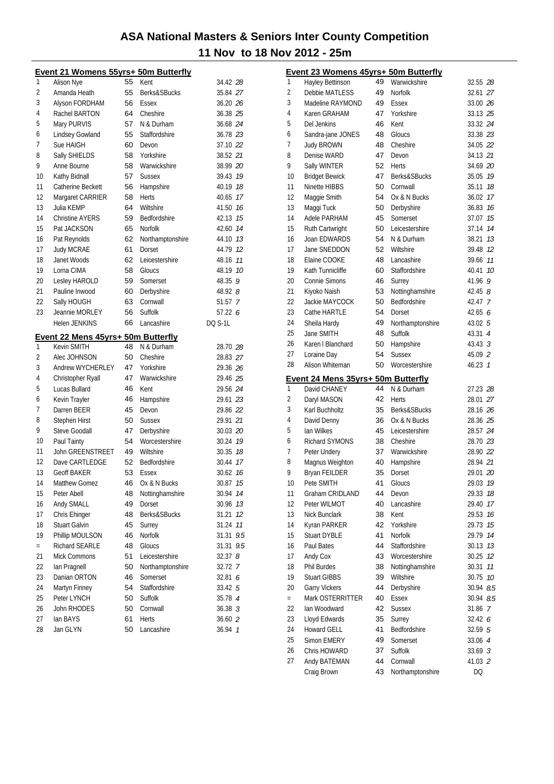|          | Event 21 Womens 55yrs+ 50m Butterfly              |          |                     |                    |     |
|----------|---------------------------------------------------|----------|---------------------|--------------------|-----|
| 1        | Alison Nye                                        | 55       | Kent                | 34.42 28           |     |
| 2        | Amanda Heath                                      | 55       | Berks&SBucks        | 35.84 27           |     |
| 3        | Alyson FORDHAM                                    | 56       | Essex               | 36.20 26           |     |
| 4        | Rachel BARTON                                     | 64       | Cheshire            | 36.38 25           |     |
| 5        | Mary PURVIS                                       | 57       | N & Durham          | 36.68 24           |     |
| 6        | Lindsey Gowland                                   | 55       | Staffordshire       | 36.78 23           |     |
| 7        | Sue HAIGH                                         | 60       | Devon               | 37.10 22           |     |
| 8        | Sally SHIELDS                                     | 58       | Yorkshire           | 38.52 21           |     |
| 9        | Anne Bourne                                       | 58       | Warwickshire        | 38.99 20           |     |
| 10       | Kathy Bidnall                                     | 57       | <b>Sussex</b>       | 39.43              | 19  |
| 11       | Catherine Beckett                                 | 56       | Hampshire           | 40.19              | 18  |
| 12       | Margaret CARRIER                                  | 58       | Herts               | 40.65              | 17  |
| 13       | Julia KEMP                                        | 64       | Wiltshire           | 41.50              | 16  |
| 14       | <b>Christine AYERS</b>                            | 59       | Bedfordshire        | 42.13              | 15  |
| 15       | Pat JACKSON                                       | 65       | <b>Norfolk</b>      | 42.60              | 14  |
| 16       | Pat Reynolds                                      | 62       | Northamptonshire    | 44.10              | 13  |
| 17       | <b>Judy MCRAE</b>                                 | 61       | Dorset              | 44.79              | 12  |
| 18       | Janet Woods                                       | 62       | Leicestershire      | 48.16              | 11  |
| 19       | Lorna CIMA                                        | 58       | Gloucs              | 48.19              | 10  |
| 20       | Lesley HAROLD                                     | 59       | Somerset            | 48.35              | 9   |
| 21       | Pauline Inwood                                    | 60       | Derbyshire          | 48.92 8            |     |
| 22       | Sally HOUGH                                       | 63       | Cornwall            | 51.57 7            |     |
| 23       | Jeannie MORLEY                                    | 56       | Suffolk             | 57.22 6            |     |
|          | <b>Helen JENKINS</b>                              | 66       | Lancashire          | <b>DQ S-1L</b>     |     |
|          |                                                   |          |                     |                    |     |
| 1        | Event 22 Mens 45yrs+ 50m Butterfly<br>Kevin SMITH | 48       | N & Durham          | 28.70 28           |     |
| 2        | Alec JOHNSON                                      | 50       | Cheshire            | 28.83 27           |     |
| 3        | Andrew WYCHERLEY                                  | 47       | Yorkshire           | 29.36 26           |     |
| 4        | Christopher Ryall                                 | 47       | Warwickshire        | 29.46 25           |     |
| 5        | Lucas Bullard                                     | 46       | Kent                | 29.56 24           |     |
| 6        | Kevin Trayler                                     | 46       | Hampshire           | 29.61 23           |     |
| 7        | Darren BEER                                       | 45       | Devon               | 29.86 22           |     |
| 8        | Stephen Hirst                                     | 50       | <b>Sussex</b>       | 29.91 21           |     |
| 9        | Steve Goodall                                     | 47       | Derbyshire          | 30.03 20           |     |
| 10       | Paul Tainty                                       | 54       | Worcestershire      | 30.24              | 19  |
| 11       | John GREENSTREET                                  | 49       | Wiltshire           | 30.35              | 18  |
| 12       | Dave CARTLEDGE                                    | 52       | Bedfordshire        | 30.44              | 17  |
| 13       | <b>Geoff BAKER</b>                                | 53       | Essex               | 30.62              | 16  |
| 14       | Matthew Gomez                                     | 46       | Ox & N Bucks        | 30.87              | 15  |
| 15       | Peter Abell                                       | 48       | Nottinghamshire     | 30.94              | 14  |
| 16       | Andy SMALL                                        | 49       | Dorset              | 30.96              | 13  |
| 17       | Chris Ehinger                                     | 48       | Berks&SBucks        | 31.21              | 12  |
| 18       | <b>Stuart Galvin</b>                              | 45       | Surrey              | 31.24              | 11  |
| 19       | Phillip MOULSON                                   | 46       | Norfolk             | 31.31              | 9.5 |
| $=$      | Richard SEARLE                                    | 48       | Gloucs              | 31.31              | 9.5 |
| 21       | <b>Mick Commons</b>                               | 51       | Leicestershire      | 32.378             |     |
| 22       | Ian Pragnell                                      | 50       | Northamptonshire    | 32.72 7            |     |
| 23       | Danian ORTON                                      | 46       | Somerset            | 32.81 6            |     |
| 24       | Martyn Finney                                     | 54       | Staffordshire       | 33.42 5            |     |
| 25       | Peter LYNCH                                       | 50       | Suffolk             | 35.78 4            |     |
|          |                                                   |          |                     |                    |     |
|          |                                                   |          |                     |                    |     |
| 26       | John RHODES                                       | 50       | Cornwall            | 36.38 3            |     |
| 27<br>28 | lan BAYS<br>Jan GLYN                              | 61<br>50 | Herts<br>Lancashire | 36.60 2<br>36.94 7 |     |

|     | Event 23 Womens 45yrs+ 50m Butterfly |          |                              |                    |    |
|-----|--------------------------------------|----------|------------------------------|--------------------|----|
| 1   | Hayley Bettinson                     | 49       | Warwickshire                 | 32.55 28           |    |
| 2   | Debbie MATLESS                       | 49       | Norfolk                      | 32.61 27           |    |
| 3   | Madeline RAYMOND                     | 49       | Essex                        | 33.00 26           |    |
| 4   | Karen GRAHAM                         | 47       | Yorkshire                    | 33.13 25           |    |
| 5   | Del Jenkins                          | 46       | Kent                         | 33.32 24           |    |
| 6   | Sandra-jane JONES                    | 48       | Gloucs                       | 33.38 23           |    |
| 7   | <b>Judy BROWN</b>                    | 48       | Cheshire                     | 34.05 22           |    |
| 8   | Denise WARD                          | 47       | Devon                        | 34.13 21           |    |
| 9   | Sally WINTER                         | 52       | Herts                        | 34.69 20           |    |
| 10  | <b>Bridget Bewick</b>                | 47       | Berks&SBucks                 | 35.05 79           |    |
| 11  | Ninette HIBBS                        | 50       | Cornwall                     | 35.11              | 18 |
| 12  | Maggie Smith                         | 54       | Ox & N Bucks                 | 36.02              | 17 |
| 13  | Maggi Tuck                           | 50       | Derbyshire                   | 36.83 16           |    |
| 14  | Adele PARHAM                         | 45       | Somerset                     | 37.07              | 15 |
| 15  | Ruth Cartwright                      | 50       | Leicestershire               | 37.14              | 14 |
| 16  | Joan EDWARDS                         | 54       | N & Durham                   | 38.21 13           |    |
| 17  | Jane SNEDDON                         | 52       | Wiltshire                    | 39.48 12           |    |
| 18  | Elaine COOKE                         | 48       | Lancashire                   | 39.66 11           |    |
| 19  | Kath Tunnicliffe                     | 60       | Staffordshire                | 40.41              | 10 |
| 20  | Connie Simons                        | 46       | Surrey                       | 41.96 9            |    |
| 21  | Kiyoko Naish                         | 53       | Nottinghamshire              | 42.45 $8$          |    |
| 22  | Jackie MAYCOCK                       | 50       | <b>Bedfordshire</b>          | 42.47 7            |    |
| 23  | Cathe HARTLE                         | 54       | Dorset                       | 42.65 $6$          |    |
| 24  | Sheila Hardy                         | 49       | Northamptonshire             | 43.02 5            |    |
| 25  | Jane SMITH                           | 48       | Suffolk                      | 43.31 4            |    |
| 26  | Karen I Blanchard                    | 50       | Hampshire                    | $43.43 \text{ } 3$ |    |
| 27  | Loraine Day                          | 54       | <b>Sussex</b>                | 45.09 2            |    |
| 28  | Alison Whiteman                      | 50       | Worcestershire               | 46.23 1            |    |
|     |                                      |          |                              |                    |    |
|     | Event 24 Mens 35yrs+ 50m Butterfly   |          |                              |                    |    |
| 1   | David CHANEY                         | 44       | N & Durham                   | 27.23 28           |    |
| 2   | Daryl MASON                          | 42       | <b>Herts</b>                 | 28.01 27           |    |
| 3   | Karl Buchholtz                       | 35       | Berks&SBucks                 | 28.16 26           |    |
| 4   | David Denny                          | 36       | Ox & N Bucks                 | 28.36 25           |    |
| 5   | lan Wilkes                           | 45       | Leicestershire               | 28.57 24           |    |
| 6   | <b>Richard SYMONS</b>                | 38       | Cheshire                     | 28.70 23           |    |
| 7   | Peter Undery                         | 37       | Warwickshire                 | 28.90 22           |    |
| 8   | Magnus Weighton                      | 40       | Hampshire                    | 28.94 21           |    |
| 9   | Bryan FEILDER                        | 35       | Dorset                       | 29.01 20           |    |
| 10  | Pete SMITH                           | 41       | Gloucs                       | 29.03 19           |    |
| 11  | Graham CRIDLAND                      | 44       | Devon                        | 29.33              | 18 |
| 12  | Peter WILMOT                         | 40       | Lancashire                   | 29.40              | 17 |
| 13  | Nick Bunclark                        | 38       | Kent                         | 29.53              | 16 |
| 14  | Kyran PARKER                         | 42       | Yorkshire                    | 29.73              | 15 |
| 15  | <b>Stuart DYBLE</b>                  | 41       | <b>Norfolk</b>               | 29.79              | 14 |
| 16  | Paul Bates                           | 44       | Staffordshire                | 30.13              | 13 |
| 17  | Andy Cox                             | 43       | Worcestershire               | 30.25              | 12 |
| 18  | Phil Burdes                          | 38       | Nottinghamshire              | 30.31              | 11 |
| 19  | <b>Stuart GIBBS</b>                  | 39       | Wiltshire                    | 30.75              | 10 |
| 20  | Garry Vickers                        | 44       | Derbyshire                   | 30.94 <i>8.5</i>   |    |
| $=$ | Mark OSTERRITTER                     | 40       | Essex                        | 30.94 8.5          |    |
| 22  | Ian Woodward                         | 42       | <b>Sussex</b>                | 31.86 7            |    |
| 23  | Lloyd Edwards                        | 35       | Surrey                       | 32.42 6            |    |
| 24  | <b>Howard GELL</b>                   | 41       | Bedfordshire                 | 32.59 5            |    |
| 25  | Simon EMERY                          | 49       | Somerset                     | 33.06 4            |    |
| 26  | Chris HOWARD                         | 37       | Suffolk                      | 33.69 3            |    |
| 27  | Andy BATEMAN<br>Craig Brown          | 44<br>43 | Cornwall<br>Northamptonshire | 41.03 2<br>DQ      |    |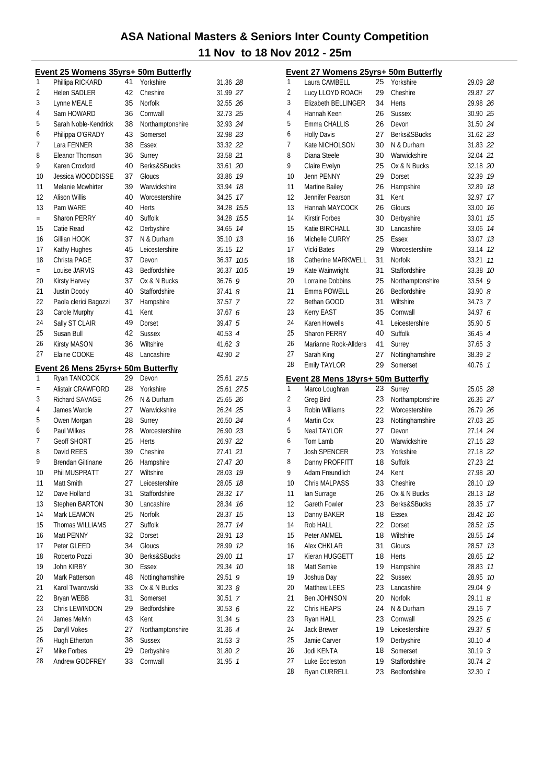|              | Event 25 Womens 35yrs+ 50m Butterfly |    |                  |                    |                | Event 27 Womens 25yrs+ 50m Butterfly |    |                  |                    |
|--------------|--------------------------------------|----|------------------|--------------------|----------------|--------------------------------------|----|------------------|--------------------|
| $\mathbf{1}$ | Phillipa RICKARD                     | 41 | Yorkshire        | 31.36 28           | $\mathbf{1}$   | Laura CAMBELL                        | 25 | Yorkshire        | 29.09 28           |
| 2            | <b>Helen SADLER</b>                  | 42 | Cheshire         | 31.99 27           | $\overline{2}$ | Lucy LLOYD ROACH                     | 29 | Cheshire         | 29.87 27           |
| 3            | Lynne MEALE                          | 35 | Norfolk          | 32.55 26           | 3              | Elizabeth BELLINGER                  | 34 | Herts            | 29.98 26           |
| 4            | Sam HOWARD                           | 36 | Cornwall         | 32.73 25           | 4              | Hannah Keen                          | 26 | <b>Sussex</b>    | 30.90 25           |
| 5            | Sarah Noble-Kendrick                 | 38 | Northamptonshire | 32.93 24           | 5              | Emma CHALLIS                         | 26 | Devon            | 31.50 24           |
| 6            | Philippa O'GRADY                     | 43 | Somerset         | 32.98 23           | 6              | <b>Holly Davis</b>                   | 27 | Berks&SBucks     | 31.62 23           |
| 7            | Lara FENNER                          | 38 | Essex            | 33.32 22           | 7              | Kate NICHOLSON                       | 30 | N & Durham       | 31.83 22           |
| 8            | Eleanor Thomson                      | 36 | Surrey           | 33.58 21           | 8              | Diana Steele                         | 30 | Warwickshire     | 32.04 21           |
| 9            | Karen Croxford                       | 40 | Berks&SBucks     | 33.61 20           | 9              | Claire Evelyn                        | 25 | Ox & N Bucks     | 32.18 20           |
| 10           | Jessica WOODDISSE                    | 37 | Gloucs           | 33.86 19           | 10             | Jenn PENNY                           | 29 | Dorset           | 32.39 19           |
| 11           | Melanie Mcwhirter                    | 39 | Warwickshire     | 33.94 18           | 11             | Martine Bailey                       | 26 | Hampshire        | 32.89 18           |
| 12           | Alison Willis                        | 40 | Worcestershire   | 34.25 17           | 12             | Jennifer Pearson                     | 31 | Kent             | 32.97 17           |
| 13           | Pam WARE                             | 40 | Herts            | 34.28 15.5         | 13             | Hannah MAYCOCK                       | 26 | Gloucs           | 33.00 16           |
| $\equiv$     | Sharon PERRY                         | 40 | Suffolk          | 34.28 15.5         | 14             | Kirstir Forbes                       | 30 | Derbyshire       | 33.01 15           |
| 15           | Catie Read                           | 42 | Derbyshire       | 34.65 74           | 15             | Katie BIRCHALL                       | 30 | Lancashire       | 33.06 74           |
| 16           | Gillian HOOK                         | 37 | N & Durham       | 35.10 13           | 16             | Michelle CURRY                       | 25 | <b>Essex</b>     | 33.07 13           |
| 17           | Kathy Hughes                         | 45 | Leicestershire   | 35.15 12           | 17             | Vicki Bates                          | 29 | Worcestershire   | 33.14 12           |
| 18           | Christa PAGE                         | 37 | Devon            | 36.37 10.5         | 18             | Catherine MARKWELL                   | 31 | Norfolk          | 33.21 11           |
| $\equiv$     | Louise JARVIS                        | 43 | Bedfordshire     | 36.37 10.5         | 19             | Kate Wainwright                      | 31 | Staffordshire    | 33.38 10           |
| 20           | <b>Kirsty Harvey</b>                 | 37 | Ox & N Bucks     | 36.769             | 20             | Lorraine Dobbins                     | 25 | Northamptonshire | 33.54 9            |
| 21           | <b>Justin Doody</b>                  | 40 | Staffordshire    | $37.41$ $8$        | 21             | Emma POWELL                          | 26 | Bedfordshire     | 33.908             |
| 22           | Paola clerici Bagozzi                | 37 | Hampshire        | 37.57 7            | 22             | Bethan GOOD                          | 31 | Wiltshire        | 34.73 7            |
| 23           | Carole Murphy                        | 41 | Kent             | 37.676             | 23             | Kerry EAST                           | 35 | Cornwall         | 34.97 6            |
| 24           | Sally ST CLAIR                       | 49 | Dorset           | 39.47 5            | 24             | Karen Howells                        | 41 | Leicestershire   | 35.90 5            |
| 25           | Susan Bull                           | 42 | <b>Sussex</b>    | 40.53 4            | 25             | <b>Sharon PERRY</b>                  | 40 | Suffolk          | 36.45 4            |
| 26           | <b>Kirsty MASON</b>                  | 36 | Wiltshire        | $41.62 \text{ } 3$ | 26             | Marianne Rook-Allders                | 41 | Surrey           | $37.65 \text{ } 3$ |
| 27           | Elaine COOKE                         | 48 | Lancashire       | 42.90 2            | 27             | Sarah King                           | 27 | Nottinghamshire  | 38.39 2            |
|              |                                      |    |                  |                    | 28             | Emily TAYLOR                         | 29 | Somerset         | 40.76 7            |
|              |                                      |    |                  |                    |                |                                      |    |                  |                    |
|              | Event 26 Mens 25yrs+ 50m Butterfly   |    |                  |                    |                |                                      |    |                  |                    |
| $\mathbf{1}$ | Ryan TANCOCK                         | 29 | Devon            | 25.61 27.5         |                | Event 28 Mens 18yrs+ 50m Butterfly   |    |                  |                    |
| $\equiv$     | Alistair CRAWFORD                    | 28 | Yorkshire        | 25.61 27.5         | $\mathbf{1}$   | Marco Loughran                       | 23 | Surrey           | 25.05 28           |
| 3            | Richard SAVAGE                       | 26 | N & Durham       | 25.65 26           | $\overline{2}$ | Greg Bird                            | 23 | Northamptonshire | 26.36 27           |
| 4            | James Wardle                         | 27 | Warwickshire     | 26.24 25           | 3              | Robin Williams                       | 22 | Worcestershire   | 26.79 26           |
| 5            | Owen Morgan                          | 28 | Surrey           | 26.50 24           | 4              | Martin Cox                           | 23 | Nottinghamshire  | 27.03 25           |
| 6            | Paul Wilkes                          | 28 | Worcestershire   | 26.90 23           | 5              | <b>Neal TAYLOR</b>                   | 27 | Devon            | 27.14 24           |
| 7            | Geoff SHORT                          | 25 | Herts            | 26.97 22           | 6              | Tom Lamb                             | 20 | Warwickshire     | 27.16 23           |
| 8            | David REES                           | 39 | Cheshire         | 27.41 21           | 7              | Josh SPENCER                         | 23 | Yorkshire        | 27.18 22           |
| 9            | <b>Brendan Giltinane</b>             | 26 | Hampshire        | 27.47 20           | 8              | Danny PROFFITT                       | 18 | Suffolk          | 27.23 21           |
| 10           | Phil MUSPRATT                        | 27 | Wiltshire        | 28.03 19           | 9              | Adam Freundlich                      | 24 | Kent             | 27.98 20           |
| 11           | Matt Smith                           | 27 | Leicestershire   | 28.05 18           | 10             | Chris MALPASS                        | 33 | Cheshire         | 28.10 19           |
| 12           | Dave Holland                         | 31 | Staffordshire    | 28.32 17           | 11             | lan Surrage                          | 26 | Ox & N Bucks     | 28.13 18           |
| 13           | Stephen BARTON                       | 30 | Lancashire       | 28.34 16           | 12             | Gareth Fowler                        | 23 | Berks&SBucks     | 28.35 17           |
| 14           | Mark LEAMON                          | 25 | Norfolk          | 28.37 15           | 13             | Danny BAKER                          | 18 | Essex            | 28.42 76           |
| 15           | Thomas WILLIAMS                      | 27 | Suffolk          | 28.77 14           | 14             | Rob HALL                             | 22 | Dorset           | 28.52 75           |
| 16           | Matt PENNY                           | 32 | Dorset           | 28.91 13           | 15             | Peter AMMEL                          | 18 | Wiltshire        | 28.55 74           |
| 17           | Peter GLEED                          | 34 | Gloucs           | 28.99 12           | 16             | Alex CHKLAR                          | 31 | Gloucs           | 28.57 13           |
| 18           | Roberto Pozzi                        | 30 | Berks&SBucks     | 29.00 11           | 17             | Kieran HUGGETT                       | 18 | Herts            | 28.65 12           |
| 19           | John KIRBY                           | 30 | Essex            | 29.34 10           | 18             | Matt Semke                           | 19 | Hampshire        | 28.83 11           |
| 20           | Mark Patterson                       | 48 | Nottinghamshire  | 29.51 9            | 19             | Joshua Day                           | 22 | <b>Sussex</b>    | 28.95 10           |
| 21           | Karol Twarowski                      | 33 | Ox & N Bucks     | 30.238             | 20             | Matthew LEES                         | 23 | Lancashire       | 29.04 9            |
| 22           | Bryan WEBB                           | 31 | Somerset         | 30.51 7            | 21             | Ben JOHNSON                          | 20 | Norfolk          | 29.11 8            |
| 23           | Chris LEWINDON                       | 29 | Bedfordshire     | 30.53 6            | 22             | Chris HEAPS                          | 24 | N & Durham       | 29.16 7            |
| 24           | James Melvin                         | 43 | Kent             | 31.34 5            | 23             | Ryan HALL                            | 23 | Cornwall         | 29.25 6            |
| 25           | Daryll Vokes                         | 27 | Northamptonshire | 31.36 4            | 24             | Jack Brewer                          | 19 | Leicestershire   | 29.37 5            |
| 26           | <b>Hugh Etherton</b>                 | 38 | <b>Sussex</b>    | 31.53 <sup>3</sup> | 25             | Jamie Carver                         | 19 | Derbyshire       | 30.10 4            |
| 27           | Mike Forbes                          | 29 | Derbyshire       | 31.80 2            | 26             | Jodi KENTA                           | 18 | Somerset         | $30.19$ $3$        |
| 28           | Andrew GODFREY                       | 33 | Cornwall         | 31.95 7            | 27             | Luke Eccleston                       | 19 | Staffordshire    | 30.74 2            |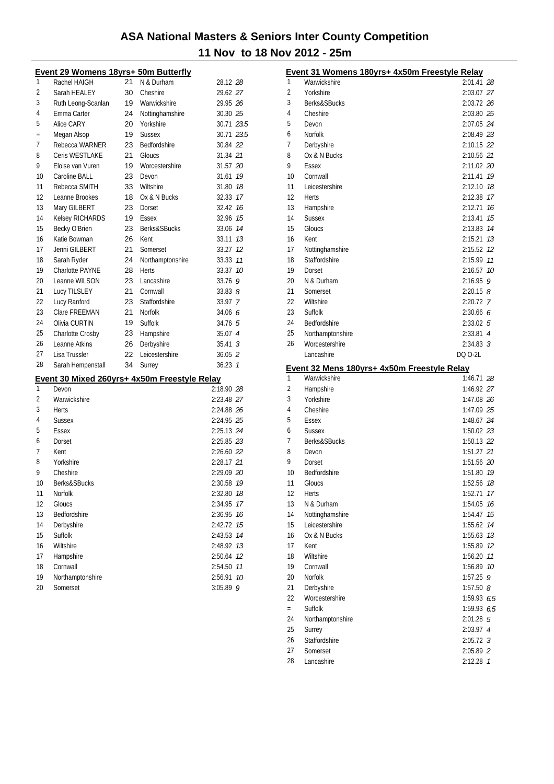|     | Event 29 Womens 18yrs+ 50m Butterfly |    |                                              |             |        |
|-----|--------------------------------------|----|----------------------------------------------|-------------|--------|
| 1   | Rachel HAIGH                         | 21 | N & Durham                                   | 28.12 28    |        |
| 2   | Sarah HEALEY                         | 30 | Cheshire                                     | 29.62 27    |        |
| 3   | Ruth Leong-Scanlan                   | 19 | Warwickshire                                 | 29.95 26    |        |
| 4   | Emma Carter                          | 24 | Nottinghamshire                              | 30.30 25    |        |
| 5   | Alice CARY                           | 20 | Yorkshire                                    | 30.71 23.5  |        |
| $=$ | Megan Alsop                          | 19 | <b>Sussex</b>                                | 30.71 23.5  |        |
| 7   | Rebecca WARNER                       | 23 | Bedfordshire                                 | 30.84 22    |        |
| 8   | Ceris WESTLAKE                       | 21 | Gloucs                                       | 31.34 21    |        |
| 9   | Eloise van Vuren                     | 19 | Worcestershire                               | 31.57 20    |        |
| 10  | Caroline BALL                        | 23 | Devon                                        | 31.61       | 19     |
| 11  | Rebecca SMITH                        | 33 | Wiltshire                                    | 31.80 18    |        |
| 12  | Leanne Brookes                       | 18 | Ox & N Bucks                                 | 32.33 17    |        |
| 13  | Mary GILBERT                         | 23 | Dorset                                       | 32.42 16    |        |
| 14  | Kelsey RICHARDS                      | 19 | Essex                                        | 32.96 15    |        |
| 15  | Becky O'Brien                        | 23 | Berks&SBucks                                 | 33.06 14    |        |
| 16  | Katie Bowman                         | 26 | Kent                                         | 33.11       | 13     |
| 17  | Jenni GILBERT                        | 21 | Somerset                                     | 33.27       | 12     |
| 18  | Sarah Ryder                          | 24 | Northamptonshire                             | 33.33 11    |        |
| 19  | Charlotte PAYNE                      | 28 | Herts                                        | 33.37 10    |        |
| 20  | Leanne WILSON                        | 23 | Lancashire                                   | 33.76 9     |        |
| 21  | Lucy TILSLEY                         | 21 | Cornwall                                     | 33.8388     |        |
| 22  | Lucy Ranford                         | 23 | Staffordshire                                | 33.97 7     |        |
| 23  | Clare FREEMAN                        | 21 | Norfolk                                      | 34.06 6     |        |
| 24  | Olivia CURTIN                        | 19 | Suffolk                                      | 34.76 5     |        |
| 25  | Charlotte Crosby                     | 23 | Hampshire                                    | 35.07 4     |        |
| 26  | Leanne Atkins                        | 26 | Derbyshire                                   | $35.41 \t3$ |        |
| 27  | Lisa Trussler                        | 22 | Leicestershire                               | $36.05$ 2   |        |
| 28  | Sarah Hempenstall                    | 34 | Surrey                                       | 36.23 1     |        |
|     |                                      |    |                                              |             |        |
| 1   | Devon                                |    | Event 30 Mixed 260yrs+ 4x50m Freestyle Relay | 2:18.90 28  |        |
| 2   | Warwickshire                         |    |                                              |             |        |
| 3   |                                      |    |                                              | 2:23.48 27  |        |
| 4   | Herts                                |    |                                              | 2:24.88 26  |        |
|     | Sussex                               |    |                                              | 2:24.95 25  |        |
| 5   | Essex                                |    |                                              | 2:25.13 24  |        |
| 6   | Dorset                               |    |                                              | 2:25.85 23  |        |
| 7   | Kent                                 |    |                                              | 2:26.60 22  |        |
| 8   | Yorkshire                            |    |                                              | 2:28.17 21  |        |
| 9   | Cheshire                             |    |                                              | 2:29.09 20  |        |
| 10  | Berks&SBucks                         |    |                                              | 2:30.58     | 19     |
| 11  | Norfolk                              |    |                                              | 2:32.80     | 18     |
| 12  | Gloucs                               |    |                                              | 2:34.95     | 17     |
| 13  | Bedfordshire                         |    |                                              | 2:36.95     | 16     |
| 14  | Derbyshire                           |    |                                              | 2:42.72     | 15     |
| 15  | <b>Suffolk</b>                       |    |                                              | 2:43.53     | 14     |
| 16  | Wiltshire                            |    |                                              | 2:48.92     | 13     |
| 17  | Hampshire                            |    |                                              | 2:50.64     | 12     |
| 18  | Cornwall                             |    |                                              | 2:54.50     | $11\,$ |
| 19  | Northamptonshire                     |    |                                              | 2:56.91     | 10     |
| 20  | Somerset                             |    |                                              | $3:05.89$ 9 |        |

|                | Event 31 Womens 180yrs+ 4x50m Freestyle Relay |                          |    |
|----------------|-----------------------------------------------|--------------------------|----|
| 1              | Warwickshire                                  | 2:01.41 28               |    |
| $\overline{2}$ | Yorkshire                                     | 2:03.07 27               |    |
| 3              | Berks&SBucks                                  | 2:03.72 26               |    |
| 4              | Cheshire                                      | 2:03.80 25               |    |
| 5              | Devon                                         | 2:07.05 24               |    |
| 6              | <b>Norfolk</b>                                | 2:08.49 23               |    |
| 7              | Derbyshire                                    | 2:10.15 22               |    |
| 8              | Ox & N Bucks                                  | 2:10.56 21               |    |
| 9              | Essex                                         | 2:11.02 20               |    |
| 10             | Cornwall                                      | 2:11.41 79               |    |
| 11             | Leicestershire                                | 2:12.10 78               |    |
| 12             | <b>Herts</b>                                  | 2:12.38 17               |    |
| 13             | Hampshire                                     | 2:12.71                  | 16 |
| 14             | <b>Sussex</b>                                 | 2:13.41                  | 15 |
| 15             | Gloucs                                        | 2:13.83                  | 14 |
| 16             | Kent                                          | 2:15.21 73               |    |
| 17             | Nottinghamshire                               | 2:15.52 12               |    |
| 18             | Staffordshire                                 | 2:15.99                  | 11 |
| 19             | Dorset                                        | $2:16.57$ 10             |    |
| 20             | N & Durham                                    | $2:16.95$ 9              |    |
| 21             | Somerset                                      | $2:20.15$ 8              |    |
| 22             | Wiltshire                                     | 2:20.72 7                |    |
| 23             | Suffolk                                       | 2:30.66 6                |    |
| 24             | Bedfordshire                                  | 2:33.02 5                |    |
| 25             | Northamptonshire                              | 2:33.81 4                |    |
| 26             | Worcestershire                                | $2:34.83$ 3              |    |
|                | Lancashire                                    | DQ 0-2L                  |    |
|                |                                               |                          |    |
|                | Event 32 Mens 180yrs+ 4x50m Freestyle Relay   |                          |    |
| 1              | Warwickshire                                  | 1:46.71 28               |    |
| $\overline{2}$ | Hampshire                                     | 1:46.92 27               |    |
| 3              | Yorkshire                                     | 1:47.08 26               |    |
| 4              | Cheshire                                      | 1:47.09 25               |    |
| 5              | Essex                                         | 1:48.67 24               |    |
| 6              | <b>Sussex</b>                                 | 1:50.02 23               |    |
| 7              | Berks&SBucks                                  | 1:50.13 22               |    |
| 8              | Devon                                         | 1:51.27 21               |    |
| 9              | Dorset                                        | 1:51.56 20               |    |
| 10             | Bedfordshire                                  | 1:51.80 79               |    |
| 11             | Gloucs                                        | 1:52.56 78               |    |
| 12             | Herts                                         | 1:52.71                  | 17 |
| 13             | N & Durham                                    | 1:54.05                  | 16 |
| 14             | Nottinghamshire                               | 1:54.47                  | 15 |
| 15             | Leicestershire                                | 1:55.62                  | 14 |
| 16             | Ox & N Bucks                                  | 1:55.63                  | 13 |
| 17             | Kent                                          | 1:55.89                  | 12 |
| 18             | Wiltshire                                     | 1:56.20                  | 11 |
| 19             | Cornwall                                      | 1:56.89                  | 10 |
| 20             | Norfolk                                       | 1:57.25                  | 9  |
| 21             | Derbyshire                                    | 1:57.50 $8$              |    |
| 22             | Worcestershire                                | 1:59.93 6.5              |    |
| $=$            | Suffolk                                       | 1:59.93 6.5              |    |
| 24             | Northamptonshire                              | 2:01.28 5                |    |
| 25             | Surrey                                        | 2:03.97 4                |    |
| 26             | Staffordshire                                 | $2:05.72$ 3              |    |
| 27<br>28       | Somerset<br>Lancashire                        | 2:05.89 2<br>$2:12.28$ 1 |    |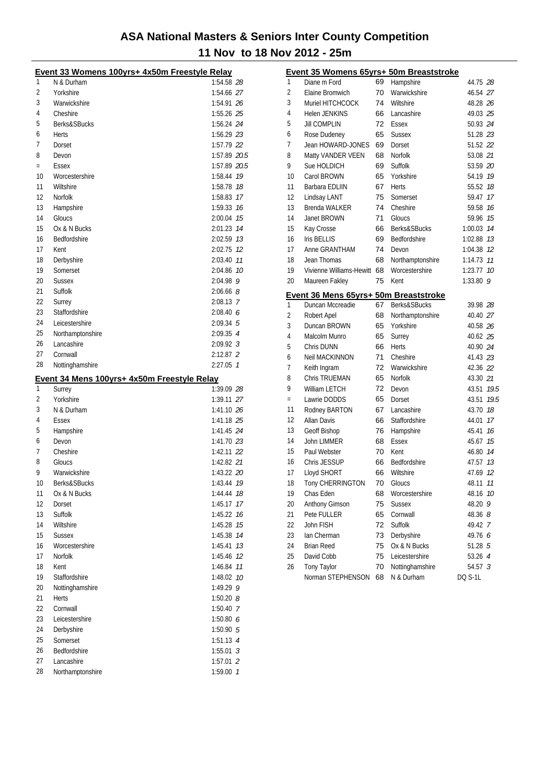|          | Event 33 Womens 100yrs+ 4x50m Freestyle Relay |                              |    |
|----------|-----------------------------------------------|------------------------------|----|
| 1        | N & Durham                                    | 1:54.58 28                   |    |
| 2        | Yorkshire                                     | 1:54.66 27                   |    |
| 3        | Warwickshire                                  | 1:54.91 26                   |    |
| 4        | Cheshire                                      | 1:55.26 25                   |    |
| 5        | Berks&SBucks                                  | 1:56.24 24                   |    |
| 6        | Herts                                         | 1:56.29 23                   |    |
| 7        | Dorset                                        | 1:57.79 22                   |    |
| 8        | Devon                                         | 1:57.89 20.5                 |    |
| $=$      | Essex                                         | 1:57.89 20.5                 |    |
| 10       | Worcestershire                                | 1:58.44 79                   |    |
| 11       | Wiltshire                                     | 1:58.78 18                   |    |
| 12       | Norfolk                                       | 1:58.83 17                   |    |
| 13       | Hampshire                                     | 1:59.33 16                   |    |
| 14       | Gloucs                                        | 2:00.04 75                   |    |
| 15       | Ox & N Bucks                                  | 2:01.23 14                   |    |
| 16       | Bedfordshire                                  | 2:02.59 73                   |    |
| 17       | Kent                                          | 2:02.75 12                   |    |
| 18       | Derbyshire                                    | 2:03.40 77                   |    |
| 19       | Somerset                                      | 2:04.86 10                   |    |
| 20       | <b>Sussex</b>                                 | $2:04.98$ 9                  |    |
| 21       | Suffolk                                       | $2:06.66$ $8$                |    |
| 22       | Surrey                                        | 2:08.13 7                    |    |
| 23       | Staffordshire                                 |                              |    |
| 24       | Leicestershire                                | 2:08.406                     |    |
|          |                                               | $2:09.34$ 5                  |    |
| 25       | Northamptonshire                              | 2:09.35 4                    |    |
| 26       | Lancashire                                    | $2:09.92 \text{ }3$          |    |
| 27<br>28 | Cornwall                                      | 2:12.87 2                    |    |
|          |                                               |                              |    |
|          | Nottinghamshire                               | $2:27.05$ 1                  |    |
|          | Event 34 Mens 100yrs+ 4x50m Freestyle Relay   |                              |    |
| 1        | Surrey                                        | 1:39.09 28                   |    |
| 2        | Yorkshire                                     | 1:39.11 27                   |    |
| 3        | N & Durham                                    | 1:41.10 26                   |    |
| 4        | Essex                                         | 1:41.18 25                   |    |
| 5        | Hampshire                                     | 1:41.45 24                   |    |
| 6        | Devon                                         | 1:41.70 23                   |    |
| 7        | Cheshire                                      | 1:42.11 22                   |    |
| 8        | Gloucs                                        | 1:42.82 21                   |    |
| 9        | Warwickshire                                  | 1:43.22 20                   |    |
| 10       | Berks&SBucks                                  | 1:43.44 79                   |    |
| 11       | Ox & N Bucks                                  | 1:44.44 78                   |    |
| 12       | Dorset                                        | 1:45.17                      | 17 |
| 13       | Suffolk                                       | 1:45.22 76                   |    |
| 14       | Wiltshire                                     | 1:45.28 15                   |    |
| 15       | <b>Sussex</b>                                 | 1:45.38 74                   |    |
| 16       | Worcestershire                                |                              |    |
| 17       | <b>Norfolk</b>                                | 1:45.41 73<br>1:45.46 12     |    |
|          | Kent                                          |                              |    |
| 18       |                                               | 1:46.84 77                   |    |
| 19       | Staffordshire                                 | 1:48.02 10                   |    |
| 20       | Nottinghamshire<br><b>Herts</b>               | 1:49.29 9                    |    |
| 21       |                                               | 1:50.20 $8$                  |    |
| 22       | Cornwall                                      | 1:50.40 7                    |    |
| 23       | Leicestershire                                | 1:50.80 6                    |    |
| 24       | Derbyshire                                    | 1:50.90 5                    |    |
| 25       | Somerset                                      | $1:51.13$ 4                  |    |
| 26       | Bedfordshire                                  | $1:55.01$ 3                  |    |
| 27<br>28 | Lancashire<br>Northamptonshire                | $1:57.01$ 2<br>$1:59.00$ $1$ |    |

|              | Event 35 Womens 65yrs+ 50m Breaststroke                   |          |                         |                |      |
|--------------|-----------------------------------------------------------|----------|-------------------------|----------------|------|
| $\mathbf{1}$ | Diane m Ford                                              | 69       | Hampshire               | 44.75 28       |      |
| 2            | Elaine Bromwich                                           | 70       | Warwickshire            | 46.54 27       |      |
| 3            | Muriel HITCHCOCK                                          | 74       | Wiltshire               | 48.28 26       |      |
| 4            | Helen JENKINS                                             | 66       | Lancashire              | 49.03 25       |      |
| 5            | <b>Jill COMPLIN</b>                                       | 72       | Essex                   | 50.93 24       |      |
| 6            | Rose Dudeney                                              | 65       | <b>Sussex</b>           | 51.28 23       |      |
| 7            | Jean HOWARD-JONES                                         | 69       | Dorset                  | 51.52 22       |      |
| 8            | Matty VANDER VEEN                                         | 68       | Norfolk                 | 53.08 21       |      |
| 9            | Sue HOLDICH                                               | 69       | Suffolk                 | 53.59 20       |      |
| 10           | Carol BROWN                                               | 65       | Yorkshire               | 54.19 19       |      |
| 11           | Barbara EDLIIN                                            | 67       | Herts                   | 55.52          | 18   |
| 12           | Lindsay LANT                                              | 75       | Somerset                | 59.47          | 17   |
| 13           | <b>Brenda WALKER</b>                                      | 74       | Cheshire                | 59.58          | 16   |
| 14           | Janet BROWN                                               | 71       | Gloucs                  | 59.96 15       |      |
| 15           | Kay Crosse                                                | 66       | Berks&SBucks            | 1:00.03        | 14   |
| 16           | <b>Iris BELLIS</b>                                        | 69       | Bedfordshire            | 1:02.88 73     |      |
| 17           | Anne GRANTHAM                                             | 74       | Devon                   | 1:04.38        | 12   |
| 18           | Jean Thomas                                               | 68       | Northamptonshire        | 1:14.73        | 11   |
| 19           | Vivienne Williams-Hewitt                                  | 68       | Worcestershire          | 1:23.77        | 10   |
| 20           | Maureen Fakley                                            | 75       | Kent                    | 1:33.80        | 9    |
|              |                                                           |          |                         |                |      |
| 1            | Event 36 Mens 65yrs+ 50m Breaststroke<br>Duncan Mccreadie | 67       | <b>Berks&amp;SBucks</b> | 39.98 28       |      |
| 2            | Robert Apel                                               | 68       | Northamptonshire        | 40.40 27       |      |
| 3            | Duncan BROWN                                              | 65       | Yorkshire               | 40.58 26       |      |
| 4            | Malcolm Munro                                             | 65       | Surrey                  | 40.62 25       |      |
| 5            | Chris DUNN                                                | 66       | Herts                   | 40.90 24       |      |
| 6            | <b>Neil MACKINNON</b>                                     | 71       | Cheshire                | 41.43 23       |      |
| 7            |                                                           | 72       | Warwickshire            |                |      |
|              | Keith Ingram                                              | 65       |                         | 42.36 22       |      |
| 8<br>9       | Chris TRUEMAN                                             | 72       | <b>Norfolk</b>          | 43.30 21       |      |
|              | <b>William LETCH</b>                                      |          | Devon                   | 43.51 19.5     |      |
| $=$          | Lawrie DODDS                                              | 65<br>67 | Dorset                  | 43.51          | 19.5 |
| 11           | Rodney BARTON                                             |          | Lancashire              | 43.70 18       |      |
| 12           | <b>Allan Davis</b>                                        | 66       | Staffordshire           | 44.01          | 17   |
| 13           | Geoff Bishop                                              | 76       | Hampshire               | 45.41          | 16   |
| 14<br>15     | John LIMMER                                               | 68       | <b>Essex</b>            | 45.67          | 15   |
|              | Paul Webster                                              | 70       | Kent                    | 46.80 74       |      |
| 16           | Chris JESSUP                                              | 66       | <b>Bedfordshire</b>     | 47.57          | 13   |
| 17           | Lloyd SHORT                                               | 66       | Wiltshire               | 47.69          | 12   |
| 18           | Tony CHERRINGTON                                          | 70       | Gloucs                  | 48.11          | 11   |
| 19           | Chas Eden                                                 | 68       | Worcestershire          | 48.16 10       |      |
| 20           | Anthony Gimson                                            | 75       | <b>Sussex</b>           | 48.20 9        |      |
| 21           | Pete FULLER                                               | 65       | Cornwall                | 48.36 8        |      |
| 22           | John FISH                                                 | 72       | Suffolk                 | 49.42 7        |      |
| 23           | Ian Cherman                                               | 73       | Derbyshire              | 49.76 6        |      |
| 24           | <b>Brian Reed</b>                                         | 75       | Ox & N Bucks            | 51.28 5        |      |
| 25           | David Cobb                                                | 75       | Leicestershire          | 53.26 4        |      |
| 26           | <b>Tony Taylor</b>                                        | 70       | Nottinghamshire         | 54.57 3        |      |
|              | Norman STEPHENSON                                         | 68       | N & Durham              | <b>DQ S-1L</b> |      |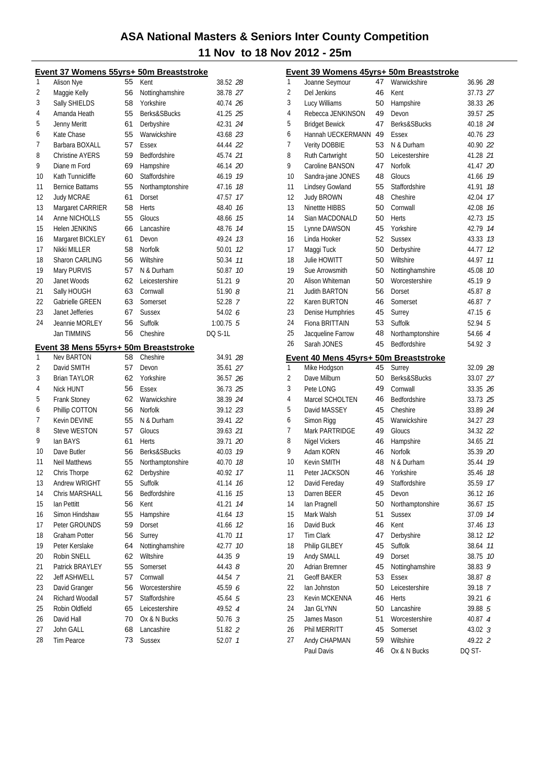|    | Event 37 Womens 55yrs+ 50m Breaststroke |          |                       |                |    |
|----|-----------------------------------------|----------|-----------------------|----------------|----|
| 1  | Alison Nye                              | 55       | Kent                  | 38.52 28       |    |
| 2  | Maggie Kelly                            | 56       | Nottinghamshire       | 38.78 27       |    |
| 3  | Sally SHIELDS                           | 58       | Yorkshire             | 40.74 26       |    |
| 4  | Amanda Heath                            | 55       | Berks&SBucks          | 41.25 25       |    |
| 5  | Jenny Meritt                            | 61       | Derbyshire            | 42.31 24       |    |
| 6  | Kate Chase                              | 55       | Warwickshire          | 43.68 23       |    |
| 7  | Barbara BOXALL                          | 57       | Essex                 | 44.44 22       |    |
| 8  | <b>Christine AYERS</b>                  | 59       | Bedfordshire          | 45.74 21       |    |
| 9  | Diane m Ford                            | 69       | Hampshire             | 46.14 20       |    |
| 10 | Kath Tunnicliffe                        | 60       | Staffordshire         | 46.19 19       |    |
| 11 | <b>Bernice Battams</b>                  | 55       | Northamptonshire      | 47.16          | 18 |
| 12 | <b>Judy MCRAE</b>                       | 61       | Dorset                | 47.57          | 17 |
| 13 | Margaret CARRIER                        | 58       | Herts                 | 48.40          | 16 |
| 14 | Anne NICHOLLS                           | 55       | Gloucs                | 48.66          | 15 |
| 15 | <b>Helen JENKINS</b>                    | 66       | Lancashire            | 48.76 14       |    |
| 16 | Margaret BICKLEY                        | 61       | Devon                 | 49.24 13       |    |
| 17 | Nikki MILLER                            | 58       | Norfolk               | 50.01          | 12 |
| 18 | Sharon CARLING                          | 56       | Wiltshire             | 50.34          | 11 |
| 19 | Mary PURVIS                             | 57       | N & Durham            | 50.87          | 10 |
| 20 | Janet Woods                             | 62       | Leicestershire        | 51.21          | 9  |
| 21 | Sally HOUGH                             | 63       | Cornwall              | 51.90 <i>8</i> |    |
| 22 | Gabrielle GREEN                         | 63       | Somerset              | 52.28 7        |    |
| 23 | Janet Jefferies                         | 67       | <b>Sussex</b>         | 54.02 6        |    |
| 24 | Jeannie MORLEY                          | 56       | Suffolk               | $1:00.75$ 5    |    |
|    | Jan TIMMINS                             | 56       | Cheshire              | <b>DO S-1L</b> |    |
|    | Event 38 Mens 55yrs+ 50m Breaststroke   |          |                       |                |    |
| 1  | <b>Nev BARTON</b>                       | 58       | Cheshire              | 34.91 28       |    |
| 2  | David SMITH                             | 57       | Devon                 | 35.61 27       |    |
| 3  | <b>Brian TAYLOR</b>                     | 62       | Yorkshire             | 36.57 26       |    |
| 4  | Nick HUNT                               | 56       | Essex                 | 36.73 25       |    |
| 5  | <b>Frank Stoney</b>                     | 62       | Warwickshire          | 38.39 24       |    |
| 6  | Phillip COTTON                          | 56       | Norfolk               | 39.12 23       |    |
| 7  | Kevin DEVINE                            | 55       | N & Durham            | 39.41 22       |    |
| 8  | <b>Steve WESTON</b>                     | 57       | Gloucs                | 39.63 21       |    |
| 9  | lan BAYS                                | 61       | Herts                 | 39.71 20       |    |
| 10 | Dave Butler                             | 56       | Berks&SBucks          | 40.03          | 19 |
| 11 | <b>Neil Matthews</b>                    | 55       | Northamptonshire      | 40.70 18       |    |
| 12 | Chris Thorpe                            | 62       | Derbyshire            | 40.92 17       |    |
| 13 | Andrew WRIGHT                           | 55       | Suffolk               | 41.14 16       |    |
| 14 | Chris MARSHALL                          | 56       | Bedfordshire          | 41.16          | 15 |
| 15 | Ian Pettitt                             | 56       | Kent                  | 41.21          | 14 |
| 16 | Simon Hindshaw                          | 55       | Hampshire             | 41.64 13       |    |
| 17 | Peter GROUNDS                           | 59       | Dorset                | 41.66 12       |    |
| 18 | <b>Graham Potter</b>                    | 56       | Surrey                | 41.70 11       |    |
| 19 | Peter Kerslake                          | 64       | Nottinghamshire       | 42.77 10       |    |
| 20 | Robin SNELL                             |          |                       |                | 9  |
| 21 | Patrick BRAYLEY                         | 62<br>55 | Wiltshire<br>Somerset | 44.35          |    |
| 22 | <b>Jeff ASHWELL</b>                     |          | Cornwall              | 44.43 <i>8</i> |    |
|    |                                         | 57       |                       | 44.54 7        |    |
| 23 | David Granger                           | 56       | Worcestershire        | 45.59 6        |    |
| 24 | Richard Woodall                         | 57       | Staffordshire         | 45.64 5        |    |
| 25 | Robin Oldfield                          | 65       | Leicestershire        | 49.52 4        |    |
| 26 | David Hall                              | 70       | Ox & N Bucks          | $50.76$ 3      |    |
| 27 | John GALL                               | 68       | Lancashire            | 51.82 2        |    |
| 28 | <b>Tim Pearce</b>                       | 73       | <b>Sussex</b>         | 52.07 7        |    |

|    | Event 39 Womens 45yrs+ 50m Breaststroke |    |                       |                   |    |
|----|-----------------------------------------|----|-----------------------|-------------------|----|
| 1  | Joanne Seymour                          | 47 | Warwickshire          | 36.96 28          |    |
| 2  | Del Jenkins                             | 46 | Kent                  | 37.73 27          |    |
| 3  | Lucy Williams                           | 50 | Hampshire             | 38.33 26          |    |
| 4  | Rebecca JENKINSON                       | 49 | Devon                 | 39.57 25          |    |
| 5  | <b>Bridget Bewick</b>                   | 47 | Berks&SBucks          | 40.18 24          |    |
| 6  | Hannah UECKERMANN                       | 49 | Essex                 | 40.76 23          |    |
| 7  | Verity DOBBIE                           | 53 | N & Durham            | 40.90 22          |    |
| 8  | Ruth Cartwright                         | 50 | Leicestershire        | 41.28 21          |    |
| 9  | Caroline BANSON                         | 47 | <b>Norfolk</b>        | 41.47 20          |    |
| 10 | Sandra-jane JONES                       | 48 | Gloucs                | 41.66 19          |    |
| 11 | <b>Lindsey Gowland</b>                  | 55 | Staffordshire         | 41.91             | 18 |
| 12 | <b>Judy BROWN</b>                       | 48 | Cheshire              | 42.04             | 17 |
| 13 | Ninettte HIBBS                          | 50 | Cornwall              | 42.08             | 16 |
| 14 | Sian MACDONALD                          | 50 | <b>Herts</b>          | 42.73             | 15 |
| 15 | Lynne DAWSON                            | 45 | Yorkshire             | 42.79 14          |    |
| 16 | Linda Hooker                            | 52 | <b>Sussex</b>         | 43.33 13          |    |
| 17 | Maggi Tuck                              | 50 | Derbyshire            | 44.77             | 12 |
| 18 | Julie HOWITT                            | 50 | Wiltshire             | 44.97             | 11 |
| 19 | Sue Arrowsmith                          | 50 | Nottinghamshire       | 45.08             | 10 |
| 20 | Alison Whiteman                         | 50 | Worcestershire        | 45.19 9           |    |
| 21 | <b>Judith BARTON</b>                    | 56 | Dorset                | 45.87 8           |    |
| 22 | Karen BURTON                            | 46 | Somerset              | 46.87 7           |    |
| 23 | Denise Humphries                        | 45 | Surrey                | 47.15 6           |    |
| 24 | Fiona BRITTAIN                          | 53 | Suffolk               | 52.94 5           |    |
| 25 | Jacqueline Farrow                       | 48 | Northamptonshire      | 54.66 4           |    |
| 26 | Sarah JONES                             | 45 | Bedfordshire          | 54.92 3           |    |
|    | Event 40 Mens 45yrs+ 50m Breaststroke   |    |                       |                   |    |
| 1  | Mike Hodgson                            | 45 | Surrey                | 32.09 28          |    |
| 2  | Dave Milburn                            | 50 | Berks&SBucks          | 33.07 27          |    |
| 3  | Pete LONG                               | 49 | Cornwall              | 33.35 26          |    |
| 4  | Marcel SCHOLTEN                         | 46 | Bedfordshire          | 33.73 25          |    |
| 5  | David MASSEY                            | 45 | Cheshire              | 33.89 24          |    |
| 6  | Simon Rigg                              | 45 | Warwickshire          | 34.27 23          |    |
| 7  | Mark PARTRIDGE                          | 49 | Gloucs                | 34.32 22          |    |
| 8  | <b>Nigel Vickers</b>                    | 46 | Hampshire             | 34.65 21          |    |
| 9  | Adam KORN                               | 46 | <b>Norfolk</b>        | 35.39 20          |    |
| 10 | <b>Kevin SMITH</b>                      | 48 | N & Durham            | 35.44 79          |    |
| 11 | Peter JACKSON                           | 46 | Yorkshire             | 35.46 18          |    |
| 12 | David Fereday                           | 49 | Staffordshire         | 35.59 17          |    |
| 13 | Darren BEER                             | 45 | Devon                 | 36.12 <i>16</i>   |    |
| 14 | lan Pragnell                            | 50 | Northamptonshire      | 36.67             | 15 |
| 15 | Mark Walsh                              | 51 | <b>Sussex</b>         | 37.09             | 14 |
| 16 | David Buck                              | 46 | Kent                  | 37.46             | 13 |
| 17 | <b>Tim Clark</b>                        | 47 | Derbyshire            | 38.12             | 12 |
| 18 | Philip GILBEY                           | 45 | Suffolk               | 38.64             | 11 |
| 19 | Andy SMALL                              | 49 | Dorset                | 38.75             | 10 |
| 20 | Adrian Bremner                          | 45 | Nottinghamshire       | 38.83             | 9  |
| 21 | <b>Geoff BAKER</b>                      | 53 | <b>Essex</b>          | 38.87 <i>8</i>    |    |
| 22 | lan Johnston                            | 50 | Leicestershire        | 39.18 7           |    |
| 23 | Kevin MCKENNA                           | 46 | Herts                 | 39.21 6           |    |
| 24 | Jan GLYNN                               | 50 | Lancashire            | 39.88 5           |    |
| 25 | James Mason                             | 51 | Worcestershire        |                   |    |
| 26 | Phil MERRITT                            | 45 |                       | 40.87 4           |    |
| 27 |                                         | 59 | Somerset<br>Wiltshire | 43.02 3           |    |
|    | Andy CHAPMAN<br>Paul Davis              | 46 | Ox & N Bucks          | 49.22 2<br>DQ ST- |    |
|    |                                         |    |                       |                   |    |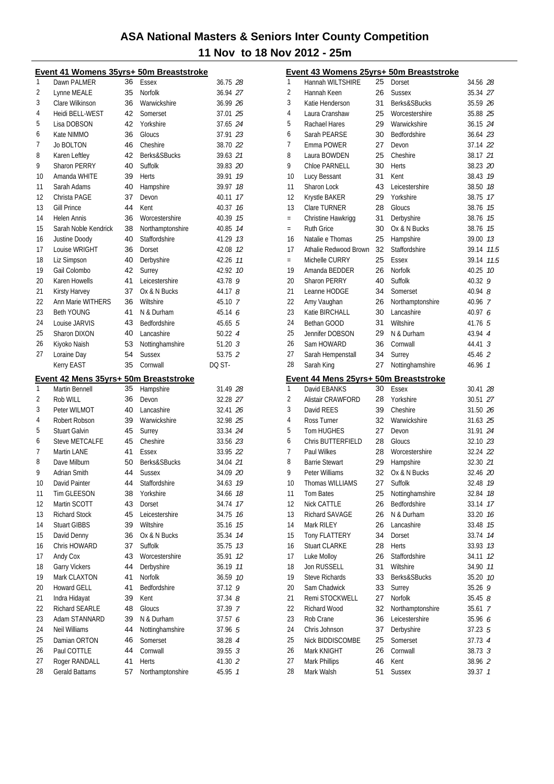|          | Event 41 Womens 35yrs+ 50m Breaststroke |          |                                  |                    |
|----------|-----------------------------------------|----------|----------------------------------|--------------------|
| 1        | Dawn PALMER                             | 36       | Essex                            | 36.75 28           |
| 2        | Lynne MEALE                             | 35       | <b>Norfolk</b>                   | 36.94 27           |
| 3        | Clare Wilkinson                         | 36       | Warwickshire                     | 36.99 26           |
| 4        | Heidi BELL-WEST                         | 42       | Somerset                         | 37.01 25           |
| 5        | Lisa DOBSON                             | 42       | Yorkshire                        | 37.65 24           |
| 6        | Kate NIMMO                              | 36       | Gloucs                           | 37.91 23           |
| 7        | <b>Jo BOLTON</b>                        | 46       | Cheshire                         | 38.70 22           |
| 8        | Karen Leftley                           | 42       | Berks&SBucks                     | 39.63 21           |
| 9        | <b>Sharon PERRY</b>                     | 40       | Suffolk                          | 39.83 20           |
| 10       | Amanda WHITE                            | 39       | <b>Herts</b>                     | 39.91 19           |
| 11       | Sarah Adams                             | 40       | Hampshire                        | 39.97 18           |
| 12       | Christa PAGE                            | 37       | Devon                            | 40.11 17           |
| 13       | <b>Gill Prince</b>                      | 44       | Kent                             | 40.37<br>16        |
| 14       | <b>Helen Annis</b>                      | 36       | Worcestershire                   | 40.39 15           |
| 15       | Sarah Noble Kendrick                    | 38       | Northamptonshire                 | 40.85 14           |
| 16       | Justine Doody                           | 40       | Staffordshire                    | 41.29 13           |
| 17       | Louise WRIGHT                           | 36       | Dorset                           | 42.08 12           |
| 18       | Liz Simpson                             | 40       | Derbyshire                       | 42.26 11           |
| 19       | Gail Colombo                            | 42       | Surrey                           | 42.92 10           |
| 20       | Karen Howells                           | 41       | Leicestershire                   | 43.78 9            |
| 21       | Kirsty Harvey                           | 37       | Ox & N Bucks                     | 44.17 8            |
| 22       | Ann Marie WITHERS                       | 36       | Wiltshire                        | 45.10 7            |
| 23       | <b>Beth YOUNG</b>                       | 41       | N & Durham                       | 45.14 6            |
| 24       | Louise JARVIS                           | 43       | <b>Bedfordshire</b>              | 45.65 5            |
| 25       | Sharon DIXON                            | 40       | Lancashire                       | $50.22 \, 4$       |
| 26       | Kiyoko Naish                            | 53       | Nottinghamshire                  | $51.20 \text{ } 3$ |
| 27       | Loraine Day                             | 54       | <b>Sussex</b>                    | 53.75 2            |
|          | Kerry EAST                              | 35       | Cornwall                         | DQ ST-             |
|          |                                         |          |                                  |                    |
|          |                                         |          |                                  |                    |
|          | Event 42 Mens 35yrs+ 50m Breaststroke   |          |                                  |                    |
| 1        | Martin Bennell                          | 35       | Hampshire                        | 31.49 28           |
| 2        | Rob WILL                                | 36       | Devon                            | 32.28 27           |
| 3        | Peter WILMOT                            | 40       | Lancashire                       | 32.41 26           |
| 4        | Robert Robson                           | 39       | Warwickshire                     | 32.98 25           |
| 5        | <b>Stuart Galvin</b>                    | 45       | Surrey                           | 33.34 24           |
| 6        | <b>Steve METCALFE</b>                   | 45       | Cheshire                         | 33.56 23           |
| 7        | Martin LANE                             | 41       | Essex                            | 33.95 22           |
| 8        | Dave Milburn                            | 50       | Berks&SBucks                     | 34.04 21           |
| 9        | Adrian Smith                            | 44       | <b>Sussex</b>                    | 34.09 20           |
| 10       | David Painter                           | 44       | Staffordshire                    | 34.63 19           |
| 11       | Tim GLEESON                             | 38       | Yorkshire                        | 34.66 18           |
| 12       | Martin SCOTT                            | 43       | Dorset                           | 34.74<br>17        |
| 13       | <b>Richard Stock</b>                    | 45       | Leicestershire                   | 34.75<br>16        |
| 14       | <b>Stuart GIBBS</b>                     | 39       | Wiltshire                        | 35.16<br>15        |
| 15       | David Denny                             | 36       | Ox & N Bucks                     | 35.34<br>14        |
| 16       | Chris HOWARD                            | 37       | Suffolk                          | 35.75 73           |
| 17       | Andy Cox                                | 43       | Worcestershire                   | 12<br>35.91        |
| 18       | <b>Garry Vickers</b>                    | 44       | Derbyshire                       | 36.19<br>11        |
| 19       | Mark CLAXTON                            | 41       | Norfolk                          | 10<br>36.59        |
| 20       | <b>Howard GELL</b>                      | 41       | Bedfordshire                     | 37.12<br>9         |
| 21       | Indra Hidayat                           | 39       | Kent                             | 37.348             |
| 22       | Richard SEARLE                          | 48       | Gloucs                           | 37.39 7            |
| 23       | Adam STANNARD                           | 39       | N & Durham                       | 37.57 6            |
| 24       | Neil Williams                           | 44       | Nottinghamshire                  | 37.96 5            |
| 25       | Damian ORTON                            | 46       | Somerset                         | 38.28 4            |
| 26       | Paul COTTLE                             | 44       | Cornwall                         | 39.553             |
| 27<br>28 | Roger RANDALL<br>Gerald Battams         | 41<br>57 | <b>Herts</b><br>Northamptonshire | 41.30 2<br>45.95   |

|          |                                       |          | Event 43 Womens 25yrs+ 50m Breaststroke |                    |    |
|----------|---------------------------------------|----------|-----------------------------------------|--------------------|----|
| 1        | Hannah WILTSHIRE                      | 25       | Dorset                                  | 34.56 28           |    |
| 2        | Hannah Keen                           | 26       | <b>Sussex</b>                           | 35.34 27           |    |
| 3        | Katie Henderson                       | 31       | Berks&SBucks                            | 35.59 26           |    |
| 4        | Laura Cranshaw                        | 25       | Worcestershire                          | 35.88 25           |    |
| 5        | Rachael Hares                         | 29       | Warwickshire                            | 36.15 24           |    |
| 6        | Sarah PEARSE                          | 30       | Bedfordshire                            | 36.64 23           |    |
| 7        | Emma POWER                            | 27       | Devon                                   | 37.14 22           |    |
| 8        | Laura BOWDEN                          | 25       | Cheshire                                | 38.17 21           |    |
| 9        | <b>Chloe PARNELL</b>                  | 30       | <b>Herts</b>                            | 38.23 20           |    |
| 10       | Lucy Bessant                          | 31       | Kent                                    | 38.43 19           |    |
| 11       | Sharon Lock                           | 43       | Leicestershire                          | 38.50 18           |    |
| 12       | Krystle BAKER                         | 29       | Yorkshire                               | 38.75 17           |    |
| 13       | Clare TURNER                          | 28       | Gloucs                                  | 38.76 15           |    |
| $=$      | Christine Hawkrigg                    | 31       | Derbyshire                              | 38.76 15           |    |
| $=$      | <b>Ruth Grice</b>                     | 30       | Ox & N Bucks                            | 38.76 15           |    |
| 16       | Natalie e Thomas                      | 25       | Hampshire                               | 39.00 13           |    |
| 17       | Athalie Redwood Brown                 |          |                                         |                    |    |
|          |                                       | 32       | Staffordshire                           | 39.14 11.5         |    |
| $=$      | Michelle CURRY                        | 25       | Essex                                   | 39.14 11.5         |    |
| 19       | Amanda BEDDER                         | 26       | Norfolk                                 | 40.25 10           |    |
| 20       | <b>Sharon PERRY</b>                   | 40       | Suffolk                                 | 40.32 9            |    |
| 21       | Leanne HODGE                          | 34       | Somerset                                | $40.94$ $8$        |    |
| 22       | Amy Vaughan                           | 26       | Northamptonshire                        | 40.96 7            |    |
| 23       | Katie BIRCHALL                        | 30       | Lancashire                              | 40.97 6            |    |
| 24       | Bethan GOOD                           | 31       | Wiltshire                               | 41.76 5            |    |
| 25       | Jennifer DOBSON                       | 29       | N & Durham                              | 43.94 4            |    |
| 26       | Sam HOWARD                            | 36       | Cornwall                                | 44.41 3            |    |
| 27       | Sarah Hempenstall                     | 34       | Surrey                                  | 45.46 2            |    |
| 28       | Sarah King                            | 27       | Nottinghamshire                         | 46.96 7            |    |
|          |                                       |          |                                         |                    |    |
|          | Event 44 Mens 25yrs+ 50m Breaststroke |          |                                         |                    |    |
| 1        | David EBANKS                          | 30       | <b>Essex</b>                            | 30.41 28           |    |
| 2        | Alistair CRAWFORD                     | 28       | Yorkshire                               | 30.51 27           |    |
| 3        | David REES                            | 39       | Cheshire                                | 31.50 26           |    |
| 4        | Ross Turner                           | 32       | Warwickshire                            | 31.63 25           |    |
| 5        | <b>Tom HUGHES</b>                     | 27       | Devon                                   | 31.91 24           |    |
| 6        | Chris BUTTERFIELD                     | 28       | Gloucs                                  | 32.10 23           |    |
| 7        | Paul Wilkes                           | 28       | Worcestershire                          | 32.24 22           |    |
| 8        | <b>Barrie Stewart</b>                 | 29       | Hampshire                               | 32.30 21           |    |
| 9        | Peter Williams                        | 32       | Ox & N Bucks                            | 32.46 20           |    |
| 10       |                                       |          | Suffolk                                 | 32.48 19           |    |
| 11       | Thomas WILLIAMS                       | 27       |                                         |                    |    |
|          | Tom Bates                             | 25<br>26 | Nottinghamshire<br>Bedfordshire         | 32.84 18           |    |
| 12       | Nick CATTLE                           |          | N & Durham                              | 33.14              | 17 |
| 13       | <b>Richard SAVAGE</b>                 | 26       |                                         | 33.20 16           |    |
| 14       | Mark RILEY                            | 26       | Lancashire                              | 33.48              | 15 |
| 15       | <b>Tony FLATTERY</b>                  | 34       | Dorset                                  | 33.74 14           |    |
| 16       | <b>Stuart CLARKE</b>                  | 28       | <b>Herts</b>                            | 33.93 13           |    |
| 17       | Luke Molloy                           | 26       | Staffordshire                           | 34.11              | 12 |
| 18       | Jon RUSSELL                           | 31       | Wiltshire                               | 34.90 11           |    |
| 19       | <b>Steve Richards</b>                 | 33       | Berks&SBucks                            | 35.20              | 10 |
| 20       | Sam Chadwick                          | 33       | Surrey                                  | 35.26              | 9  |
| 21       | Remi STOCKWELL                        | 27       | Norfolk                                 | 35.458             |    |
| 22       | Richard Wood                          | 32       | Northamptonshire                        | 35.61 7            |    |
| 23       | Rob Crane                             | 36       | Leicestershire                          | 35.96 6            |    |
| 24       | Chris Johnson                         | 37       | Derbyshire                              | 37.23 5            |    |
| 25       | Nick BIDDISCOMBE                      | 25       | Somerset                                | 37.73 4            |    |
| 26       | Mark KNIGHT                           | 26       | Cornwall                                | 38.73 <sup>3</sup> |    |
| 27<br>28 | Mark Phillips<br>Mark Walsh           | 46<br>51 | Kent<br>Sussex                          | 38.96 2<br>39.37 1 |    |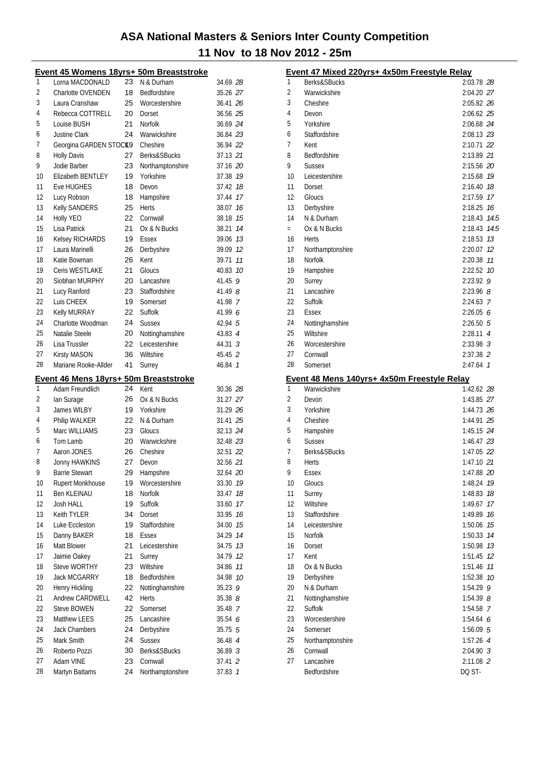|          | Event 45 Womens 18yrs+ 50m Breaststroke |          |                              |                    |    |
|----------|-----------------------------------------|----------|------------------------------|--------------------|----|
| 1        | Lorna MACDONALD                         | 23       | N & Durham                   | 34.69 28           |    |
| 2        | Charlotte OVENDEN                       | 18       | Bedfordshire                 | 35.26 27           |    |
| 3        | Laura Cranshaw                          | 25       | Worcestershire               | 36.41 26           |    |
| 4        | Rebecca COTTRELL                        | 20       | Dorset                       | 36.56 25           |    |
| 5        | Louise BUSH                             | 21       | Norfolk                      | 36.69 24           |    |
| 6        | <b>Justine Clark</b>                    | 24       | Warwickshire                 | 36.84 23           |    |
| 7        | Georgina GARDEN STOCK9                  |          | Cheshire                     | 36.94 22           |    |
| 8        | <b>Holly Davis</b>                      | 27       | Berks&SBucks                 | 37.13 21           |    |
| 9        | Jodie Barber                            | 23       | Northamptonshire             | 37.16 20           |    |
| 10       | <b>Elizabeth BENTLEY</b>                | 19       | Yorkshire                    | 37.38 19           |    |
| 11       | Eve HUGHES                              | 18       | Devon                        | 37.42 18           |    |
| 12       | Lucy Robson                             | 18       | Hampshire                    | 37.44 17           |    |
| 13       | Kelly SANDERS                           | 25       | <b>Herts</b>                 | 38.07 16           |    |
| 14       | Holly YEO                               | 22       | Cornwall                     | 38.18 15           |    |
| 15       | Lisa Patrick                            | 21       | Ox & N Bucks                 | 38.21              | 14 |
| 16       | <b>Kelsey RICHARDS</b>                  | 19       | Essex                        | 39.06 73           |    |
| 17       | Laura Marinelli                         | 26       | Derbyshire                   | 39.09 12           |    |
| 18       | Katie Bowman                            | 26       | Kent                         | 39.71              | 11 |
| 19       | Ceris WESTLAKE                          | 21       | Gloucs                       | 40.83              | 10 |
| 20       | Siobhan MURPHY                          | 20       | Lancashire                   | 41.45              | 9  |
| 21       | Lucy Ranford                            | 23       | Staffordshire                | 41.49 8            |    |
| 22       | Luis CHEEK                              | 19       | Somerset                     | 41.98 7            |    |
| 23       | Kelly MURRAY                            | 22       | Suffolk                      | 41.99 $6$          |    |
| 24       | Charlotte Woodman                       | 24       | <b>Sussex</b>                | 42.94 5            |    |
| 25       | Natalie Steele                          | 20       | Nottinghamshire              | 43.83 4            |    |
| 26       | Lisa Trussler                           | 22       | Leicestershire               | $44.31 \text{ } 3$ |    |
| 27       | <b>Kirsty MASON</b>                     | 36       | Wiltshire                    | 45.45 2            |    |
| 28       | Mariane Rooke-Allder                    | 41       | Surrey                       | 46.84 7            |    |
|          | Event 46 Mens 18yrs+ 50m Breaststroke   |          |                              |                    |    |
| 1        | Adam Freundlich                         | 24       | Kent                         | 30.36 28           |    |
| 2        | lan Surage                              | 26       | Ox & N Bucks                 | 31.27 27           |    |
| 3        | James WILBY                             | 19       | Yorkshire                    | 31.29 26           |    |
| 4        | Philip WALKER                           |          |                              |                    |    |
| 5        |                                         |          |                              |                    |    |
|          |                                         | 22       | N & Durham                   | 31.41 25           |    |
|          | Marc WILLIAMS                           | 23       | Gloucs                       | 32.13 24           |    |
| 6        | Tom Lamb                                | 20       | Warwickshire                 | 32.48 23           |    |
| 7        | Aaron JONES                             | 26       | Cheshire                     | 32.51 22           |    |
| 8        | Jonny HAWKINS                           | 27       | Devon                        | 32.56 21           |    |
| 9        | <b>Barrie Stewart</b>                   | 29       | Hampshire                    | 32.64 20           |    |
| 10       | <b>Rupert Monkhouse</b>                 | 19       | Worcestershire               | 33.30 19           |    |
| 11       | Ben KLEINAU                             | 18       | Norfolk                      | 33.47              | 18 |
| 12       | Josh HALL                               | 19       | Suffolk                      | 33.60              | 17 |
| 13       | Keith TYLER                             | 34       | Dorset                       | 33.95              | 16 |
| 14       | Luke Eccleston                          | 19       | Staffordshire                | 34.00 75           |    |
| 15       | Danny BAKER                             | 18       | Essex                        | 34.29 14           |    |
| 16       | Matt Blower                             | 21       | Leicestershire               | 34.75 73           |    |
| 17       | Jaimie Oakey                            | 21       | Surrey                       | 34.79 12           |    |
| 18       | <b>Steve WORTHY</b>                     | 23       | Wiltshire                    | 34.86              | 11 |
| 19       | <b>Jack MCGARRY</b>                     | 18       | Bedfordshire                 | 34.98 10           |    |
| 20       | Henry Hickling                          | 22       | Nottinghamshire              | 35.23              | 9  |
| 21       | Andrew CARDWELL                         | 42       | <b>Herts</b>                 | 35.388             |    |
| 22       | <b>Steve BOWEN</b>                      | 22       | Somerset                     | 35.48 7            |    |
| 23       | Matthew LEES                            | 25       | Lancashire                   | 35.54 6            |    |
| 24       | <b>Jack Chambers</b>                    | 24       | Derbyshire                   | 35.75 5            |    |
| 25       | Mark Smith                              | 24       | <b>Sussex</b>                | 36.48 4            |    |
| 26       | Roberto Pozzi                           | 30       | Berks&SBucks                 | 36.89 3            |    |
| 27<br>28 | Adam VINE<br>Martyn Battams             | 23<br>24 | Cornwall<br>Northamptonshire | 37.41 2<br>37.83 1 |    |

|          | Event 47 Mixed 220yrs+ 4x50m Freestyle Relay       |                            |    |
|----------|----------------------------------------------------|----------------------------|----|
| 1        | Berks&SBucks                                       | 2:03.78 28                 |    |
| 2        | Warwickshire                                       | 2:04.20 27                 |    |
| 3        | Cheshire                                           | 2:05.82 26                 |    |
| 4        | Devon                                              | 2:06.62 25                 |    |
| 5        | Yorkshire                                          | 2:06.68 24                 |    |
| 6        | Staffordshire                                      | 2:08.13 23                 |    |
| 7        | Kent                                               | 2:10.71 22                 |    |
| 8        | Bedfordshire                                       | 2:13.89 21                 |    |
| 9        | Sussex                                             | 2:15.56 20                 |    |
| 10       | Leicestershire                                     | 2:15.68 19                 |    |
| 11       | Dorset                                             | 2:16.40 18                 |    |
| 12       | Gloucs                                             | 2:17.59 17                 |    |
| 13       | Derbyshire                                         | 2:18.25 76                 |    |
| 14       | N & Durham                                         | 2:18.43 74.5               |    |
| $=$      | Ox & N Bucks                                       | 2:18.43 74.5               |    |
| 16<br>17 | Herts                                              | 2:18.53 73                 |    |
| 18       | Northamptonshire<br>Norfolk                        | 2:20.07 12<br>2:20.38 11   |    |
| 19       |                                                    | 2:22.52 10                 |    |
| 20       | Hampshire<br>Surrey                                | $2:23.92$ 9                |    |
| 21       | Lancashire                                         | $2:23.96$ 8                |    |
| 22       | Suffolk                                            | 2:24.63 7                  |    |
| 23       | Essex                                              | 2:26.056                   |    |
| 24       | Nottinghamshire                                    | 2:26.505                   |    |
| 25       | Wiltshire                                          | 2:28.11 4                  |    |
| 26       | Worcestershire                                     | $2:33.98$ 3                |    |
| 27       | Cornwall                                           | 2:37.38 2                  |    |
| 28       | Somerset                                           | $2:47.64$ 1                |    |
|          |                                                    |                            |    |
|          |                                                    |                            |    |
|          | <u>Event 48 Mens 140yrs+ 4x50m Freestyle Relay</u> |                            |    |
| 1        | Warwickshire                                       | 1:42.62 28                 |    |
| 2        | Devon                                              | 1:43.85 27                 |    |
| 3        | Yorkshire                                          | 1:44.73 26                 |    |
| 4<br>5   | Cheshire                                           | 1:44.91 25                 |    |
| 6        | Hampshire<br><b>Sussex</b>                         | 1:45.15 24                 |    |
| 7        | <b>Berks&amp;SBucks</b>                            | $1:46.47$ 23<br>1:47.05 22 |    |
| 8        |                                                    | 1:47.10 21                 |    |
| 9        | Herts<br><b>Essex</b>                              | 1:47.88 20                 |    |
| 10       | Gloucs                                             | 1:48.24 79                 |    |
| 11       | Surrey                                             | 1:48.83                    | 18 |
| 12       | Wiltshire                                          | 1:49.67                    | 17 |
| 13       | Staffordshire                                      | 1:49.89 16                 |    |
| 14       | Leicestershire                                     | 1:50.06 75                 |    |
| 15       | <b>Norfolk</b>                                     | 1:50.33 74                 |    |
| 16       | Dorset                                             | 1:50.98 73                 |    |
| 17       | Kent                                               | 1:51.45 12                 |    |
| 18       | Ox & N Bucks                                       | 1:51.46 77                 |    |
| 19       | Derbyshire                                         | 1:52.38 10                 |    |
| 20       | N & Durham                                         | 1:54.29 9                  |    |
| 21       | Nottinghamshire                                    | $1:54.39$ $8$              |    |
| 22       | Suffolk                                            | 1:54.58 7                  |    |
| 23       | Worcestershire                                     | $1:54.64$ 6                |    |
| 24       | Somerset                                           | $1:56.09$ 5                |    |
| 25       | Northamptonshire                                   | 1:57.26 4                  |    |
| 26       | Cornwall                                           | $2:04.90$ 3                |    |
| 27       | Lancashire<br>Bedfordshire                         | 2:11.08 2<br>DQ ST-        |    |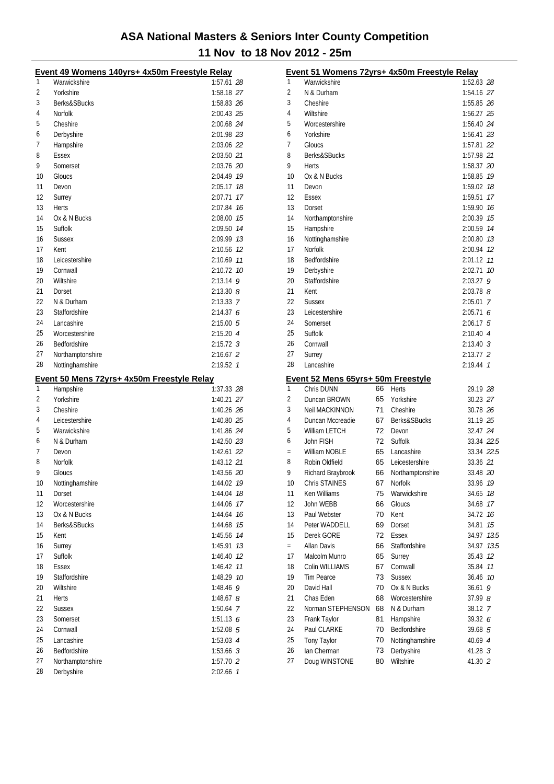|          | Event 49 Womens 140yrs+ 4x50m Freestyle Relay |                        |    |
|----------|-----------------------------------------------|------------------------|----|
| 1        | Warwickshire                                  | 1:57.61 28             |    |
| 2        | Yorkshire                                     | 1:58.18 27             |    |
| 3        | Berks&SBucks                                  | 1:58.83 26             |    |
| 4        | Norfolk                                       | 2:00.43 25             |    |
| 5        | Cheshire                                      | 2:00.68 24             |    |
| 6        | Derbyshire                                    | 2:01.98 23             |    |
| 7        | Hampshire                                     | 2:03.06 22             |    |
| 8        | Essex                                         | 2:03.50 21             |    |
| 9        | Somerset                                      | 2:03.76 20             |    |
| 10       | Gloucs                                        | 2:04.49 79             |    |
| 11       | Devon                                         | 2:05.17 18             |    |
| 12       | Surrey                                        | 2:07.71                | 17 |
| 13       | <b>Herts</b>                                  | 2:07.84                | 16 |
| 14       | Ox & N Bucks                                  | 2:08.00 75             |    |
| 15       | Suffolk                                       | 2:09.50 14             |    |
| 16       | <b>Sussex</b>                                 | 2:09.99 13             |    |
| 17       | Kent                                          | 2:10.56 12             |    |
| 18       | Leicestershire                                | 2:10.69 11             |    |
| 19       | Cornwall                                      | 2:10.72 10             |    |
| 20       | Wiltshire                                     | $2:13.14$ 9            |    |
| 21       | Dorset                                        | $2:13.30$ $8$          |    |
| 22       | N & Durham                                    | 2:13.33 7              |    |
| 23       | Staffordshire                                 | 2:14.376               |    |
| 24       | Lancashire                                    | 2:15.005               |    |
| 25       | Worcestershire                                | 2:15.204               |    |
| 26       | Bedfordshire                                  | $2:15.72$ 3            |    |
| 27       | Northamptonshire                              | $2:16.67$ 2            |    |
| 28       | Nottinghamshire                               | 2:19.52 7              |    |
|          |                                               |                        |    |
|          |                                               |                        |    |
|          | Event 50 Mens 72yrs+ 4x50m Freestyle Relay    |                        |    |
| 1        | Hampshire                                     | 1:37.33 28             |    |
| 2        | Yorkshire                                     | 1:40.21 27             |    |
| 3        | Cheshire                                      | 1:40.26 26             |    |
| 4        | Leicestershire                                | 1:40.80 25             |    |
| 5        | Warwickshire                                  | 1:41.86 24             |    |
| 6        | N & Durham                                    | 1:42.50 23             |    |
| 7        | Devon                                         | 1:42.61 22             |    |
| 8        | <b>Norfolk</b>                                | 1:43.12 21             |    |
| 9        | Gloucs                                        | 1:43.56 20             |    |
| 10       | Nottinghamshire                               | 1:44.02 19             |    |
| 11       | Dorset                                        | 1:44.04 18             |    |
| 12       | Worcestershire                                | 1:44.06                | 17 |
| 13       | Ox & N Bucks                                  | 1:44.64                | 16 |
| 14       | Berks&SBucks                                  | 1:44.68                | 15 |
| 15       | Kent                                          | 1:45.56                | 14 |
| 16       | Surrey                                        | 1:45.91                | 13 |
| 17       | Suffolk                                       | 1:46.40 12             |    |
| 18       | Essex                                         | 1:46.42                | 11 |
| 19       | Staffordshire                                 | 1:48.29 10             |    |
| 20       | Wiltshire                                     | 1:48.46 9              |    |
| 21       | Herts                                         | 1:48.67 $8$            |    |
| 22       | <b>Sussex</b>                                 | 1:50.64 7              |    |
| 23       | Somerset                                      | 1:51.136               |    |
| 24       | Cornwall                                      | 1:52.08 5              |    |
| 25       | Lancashire                                    | $1:53.03$ 4            |    |
| 26       | Bedfordshire                                  | $1:53.66$ 3            |    |
| 27<br>28 | Northamptonshire<br>Derbyshire                | 1:57.70 2<br>2:02.66 7 |    |

| 1<br>Warwickshire<br>$\overline{2}$<br>N & Durham<br>3<br>Cheshire<br>4<br>Wiltshire<br>5<br>Worcestershire<br>Yorkshire<br>6<br>7<br>Gloucs | 1:52.63 28  |      |
|----------------------------------------------------------------------------------------------------------------------------------------------|-------------|------|
|                                                                                                                                              |             |      |
|                                                                                                                                              | 1:54.16 27  |      |
|                                                                                                                                              | 1:55.85 26  |      |
|                                                                                                                                              | 1:56.27 25  |      |
|                                                                                                                                              | 1:56.40 24  |      |
|                                                                                                                                              | 1:56.41 23  |      |
|                                                                                                                                              | 1:57.81 22  |      |
| 8<br>Berks&SBucks                                                                                                                            | 1:57.98 21  |      |
| 9<br><b>Herts</b>                                                                                                                            | 1:58.37 20  |      |
| 10<br>Ox & N Bucks                                                                                                                           | 1:58.85 79  |      |
| 11<br>Devon                                                                                                                                  | 1:59.02 18  |      |
| 12<br>Essex                                                                                                                                  | 1:59.51     | 17   |
| 13<br>Dorset                                                                                                                                 | 1:59.90     | 16   |
| 14<br>Northamptonshire                                                                                                                       | 2:00.39     | 15   |
| 15<br>Hampshire                                                                                                                              | 2:00.59     | 14   |
| 16<br>Nottinghamshire                                                                                                                        | 2:00.80 73  |      |
| 17<br><b>Norfolk</b>                                                                                                                         | 2:00.94 12  |      |
| 18<br>Bedfordshire                                                                                                                           | 2:01.12 11  |      |
| 19<br>Derbyshire                                                                                                                             | 2:02.71 10  |      |
| Staffordshire<br>20                                                                                                                          | 2:03.27     | 9    |
| 21<br>Kent                                                                                                                                   | $2:03.78$ 8 |      |
| 22<br><b>Sussex</b>                                                                                                                          | $2:05.01$ 7 |      |
| 23<br>Leicestershire                                                                                                                         | 2:05.716    |      |
| 24<br>Somerset                                                                                                                               | $2:06.17$ 5 |      |
| 25<br>Suffolk                                                                                                                                | 2:10.404    |      |
| 26<br>Cornwall                                                                                                                               | $2:13.40$ 3 |      |
| 27<br>Surrey                                                                                                                                 | $2:13.77$ 2 |      |
| 28<br>Lancashire                                                                                                                             | 2:19.44 7   |      |
|                                                                                                                                              |             |      |
|                                                                                                                                              |             |      |
| Event 52 Mens 65yrs+ 50m Freestyle<br>1<br>66<br>Chris DUNN<br>Herts                                                                         | 29.19 28    |      |
| 2<br>Duncan BROWN<br>65<br>Yorkshire                                                                                                         | 30.23 27    |      |
| 3<br>71<br>Neil MACKINNON<br>Cheshire                                                                                                        | 30.78 26    |      |
| 4<br>67<br>Berks&SBucks<br>Duncan Mccreadie                                                                                                  | 31.19 25    |      |
| 5<br>72<br>William LETCH<br>Devon                                                                                                            | 32.47 24    |      |
| 72<br>6<br>John FISH<br>Suffolk                                                                                                              | 33.34 22.5  |      |
| William NOBLE<br>65<br>Lancashire<br>$=$                                                                                                     | 33.34 22.5  |      |
| 65<br>8<br>Robin Oldfield<br>Leicestershire                                                                                                  | 33.36 21    |      |
| 9<br>Richard Braybrook<br>Northamptonshire<br>66                                                                                             | 33.48 20    |      |
| Chris STAINES<br>67<br>10<br>Norfolk                                                                                                         | 33.96 19    |      |
| 11<br>Ken Williams<br>75<br>Warwickshire                                                                                                     | 34.65 18    |      |
| 12<br>John WEBB<br>66<br>Gloucs                                                                                                              | 34.68       | 17   |
| 13<br>Paul Webster<br>70<br>Kent                                                                                                             | 34.72       | 16   |
| 14<br>69<br>Peter WADDELL<br>Dorset                                                                                                          | 34.81       | 15   |
| 15<br>Derek GORE<br>72<br>Essex                                                                                                              | 34.97       | 13.5 |
| <b>Allan Davis</b><br>66<br>Staffordshire<br>$=$                                                                                             | 34.97       | 13.5 |
| 17<br>Malcolm Munro<br>65<br>Surrey                                                                                                          | 35.43       | 12   |
| 18<br>Colin WILLIAMS<br>67<br>Cornwall                                                                                                       | 35.84       | 11   |
| 19<br><b>Tim Pearce</b><br>73<br><b>Sussex</b>                                                                                               | 36.46       | 10   |
| 20<br>David Hall<br>70<br>Ox & N Bucks                                                                                                       | 36.61       | 9    |
| 21<br>Chas Eden<br>68<br>Worcestershire                                                                                                      | 37.99 8     |      |
| 22<br>Norman STEPHENSON<br>68<br>N & Durham                                                                                                  | 38.12 7     |      |
| 23<br>Frank Taylor<br>81<br>Hampshire                                                                                                        | 39.32 6     |      |
| 24<br>Paul CLARKE<br>Bedfordshire<br>70                                                                                                      | 39.68 5     |      |
| 25<br>Tony Taylor<br>Nottinghamshire<br>70                                                                                                   | 40.69 4     |      |
| 26<br>Ian Cherman<br>73<br>Derbyshire                                                                                                        | 41.28 3     |      |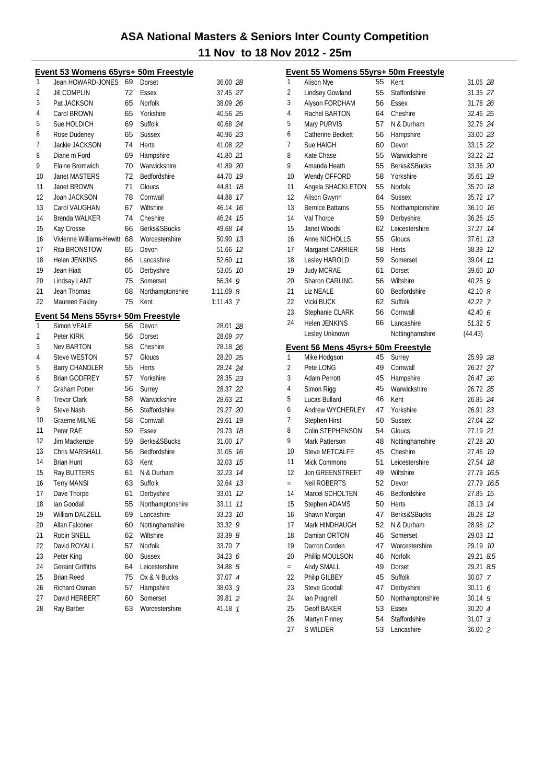|    | Event 53 Womens 65yrs+ 50m Freestyle |    |                  |             |
|----|--------------------------------------|----|------------------|-------------|
| 1  | Jean HOWARD-JONES                    | 69 | Dorset           | 36.00 28    |
| 2  | <b>Jill COMPLIN</b>                  | 72 | Essex            | 37.45 27    |
| 3  | Pat JACKSON                          | 65 | Norfolk          | 38.09 26    |
| 4  | Carol BROWN                          | 65 | Yorkshire        | 40.56 25    |
| 5  | Sue HOLDICH                          | 69 | Suffolk          | 40.68 24    |
| 6  | Rose Dudeney                         | 65 | <b>Sussex</b>    | 40.96 23    |
| 7  | Jackie JACKSON                       | 74 | <b>Herts</b>     | 41.08 22    |
| 8  | Diane m Ford                         | 69 | Hampshire        | 41.80 21    |
| 9  | Elaine Bromwich                      | 70 | Warwickshire     | 41.89 20    |
| 10 | <b>Janet MASTERS</b>                 | 72 | Bedfordshire     | 44.70 19    |
| 11 | Janet BROWN                          | 71 | Gloucs           | 44.81<br>18 |
| 12 | Joan JACKSON                         | 78 | Cornwall         | 44.88 17    |
| 13 | Carol VAUGHAN                        | 67 | Wiltshire        | 46.14 16    |
| 14 | Brenda WALKER                        | 74 | Cheshire         | 46.24 15    |
| 15 | Kay Crosse                           | 66 | Berks&SBucks     | 49.68 14    |
| 16 | Vivienne Williams-Hewitt             | 68 | Worcestershire   | 50.90 13    |
| 17 | Rita BRONSTOW                        | 65 | Devon            | 51.66 12    |
| 18 | Helen JENKINS                        | 66 | Lancashire       | 52.60 11    |
| 19 | Jean Hiatt                           | 65 | Derbyshire       | 53.05 10    |
| 20 | Lindsay LANT                         | 75 | Somerset         | 56.34 9     |
| 21 | Jean Thomas                          | 68 | Northamptonshire | 1:11.09 $8$ |
| 22 | Maureen Fakley                       | 75 | Kent             | $1:11.43$ 7 |
|    | Event 54 Mens 55yrs+ 50m Freestyle   |    |                  |             |
| 1  | <b>Simon VEALE</b>                   | 56 | Devon            | 28.01 28    |
| 2  | Peter KIRK                           | 56 | Dorset           | 28.09 27    |
| 3  | <b>Nev BARTON</b>                    | 58 | Cheshire         | 28.18 26    |
| 4  | <b>Steve WESTON</b>                  | 57 | Gloucs           | 28.20 25    |
| 5  | <b>Barry CHANDLER</b>                | 55 | Herts            | 28.24 24    |
| 6  | <b>Brian GODFREY</b>                 | 57 | Yorkshire        | 28.35 23    |
| 7  | <b>Graham Potter</b>                 | 56 | Surrey           | 28.37 22    |
| 8  | <b>Trevor Clark</b>                  | 58 | Warwickshire     | 28.63 21    |
| 9  | Steve Nash                           | 56 | Staffordshire    | 29.27 20    |
| 10 | Graeme MILNE                         | 58 | Cornwall         | 29.61 19    |
| 11 | Peter RAE                            | 59 | <b>Essex</b>     | 29.73 18    |
| 12 | Jim Mackenzie                        | 59 | Berks&SBucks     | 31.00 17    |
| 13 | <b>Chris MARSHALL</b>                | 56 | Bedfordshire     | 16<br>31.05 |
| 14 | <b>Brian Hunt</b>                    | 63 | Kent             | 15<br>32.03 |
| 15 | Ray BUTTERS                          | 61 | N & Durham       | 32.23<br>14 |
| 16 | <b>Terry MANSI</b>                   | 63 | Suffolk          | 32.64<br>13 |
| 17 | Dave Thorpe                          | 61 | Derbyshire       | 33.01<br>12 |
| 18 | Ian Goodall                          | 55 | Northamptonshire | 33.11<br>11 |
| 19 | William DALZELL                      | 69 | Lancashire       | 33.23<br>10 |
| 20 | Allan Falconer                       | 60 | Nottinghamshire  | 9<br>33.32  |
| 21 | Robin SNELL                          | 62 | Wiltshire        | 33.39 8     |
| 22 | David ROYALL                         | 57 | Norfolk          | 33.70 7     |
| 23 | Peter King                           | 60 | <b>Sussex</b>    | 34.23 6     |
| 24 | <b>Geraint Griffiths</b>             | 64 | Leicestershire   | 34.88 5     |
| 25 | <b>Brian Reed</b>                    | 75 | Ox & N Bucks     | 37.07 4     |
| 26 | Richard Osman                        | 57 | Hampshire        | 38.03 3     |
| 27 | David HERBERT                        | 60 | Somerset         | 39.81 2     |
| 28 | Ray Barber                           | 63 | Worcestershire   | 41.18 1     |
|    |                                      |    |                  |             |

|     | Event 55 Womens 55yrs+ 50m Freestyle |    |                  |             |     |
|-----|--------------------------------------|----|------------------|-------------|-----|
| 1   | <b>Alison Nye</b>                    | 55 | Kent             | 31.06 28    |     |
| 2   | Lindsey Gowland                      | 55 | Staffordshire    | 31.35 27    |     |
| 3   | Alyson FORDHAM                       | 56 | Essex            | 31.78 26    |     |
| 4   | Rachel BARTON                        | 64 | Cheshire         | 32.46 25    |     |
| 5   | Mary PURVIS                          | 57 | N & Durham       | 32.76 24    |     |
| 6   | Catherine Beckett                    | 56 | Hampshire        | 33.00 23    |     |
| 7   | Sue HAIGH                            | 60 | Devon            | 33.15 22    |     |
| 8   | Kate Chase                           | 55 | Warwickshire     | 33.22 21    |     |
| 9   | Amanda Heath                         | 55 | Berks&SBucks     | 33.36 20    |     |
| 10  | Wendy OFFORD                         | 58 | Yorkshire        | 35.61 19    |     |
| 11  | Angela SHACKLETON                    | 55 | Norfolk          | 35.70 18    |     |
| 12  | Alison Gwynn                         | 64 | <b>Sussex</b>    | 35.72 17    |     |
| 13  | <b>Bernice Battams</b>               | 55 | Northamptonshire | 36.10 16    |     |
| 14  | Val Thorpe                           | 59 | Derbyshire       | 36.26 15    |     |
| 15  | Janet Woods                          | 62 | Leicestershire   | 37.27 14    |     |
| 16  | Anne NICHOLLS                        | 55 | Gloucs           | 37.61       | 13  |
| 17  | Margaret CARRIER                     | 58 | Herts            | 38.39 12    |     |
| 18  | Lesley HAROLD                        | 59 | Somerset         | 39.04 11    |     |
| 19  | <b>Judy MCRAE</b>                    | 61 | Dorset           | 39.60 10    |     |
| 20  | Sharon CARLING                       | 56 | Wiltshire        | 40.25       | 9   |
| 21  | <b>Liz NEALE</b>                     | 60 | Bedfordshire     | $42.10$ $8$ |     |
| 22  | <b>Vicki BUCK</b>                    | 62 | Suffolk          | 42.22 7     |     |
| 23  | Stephanie CLARK                      | 56 | Cornwall         | 42.40 6     |     |
| 24  | <b>Helen JENKINS</b>                 | 66 | Lancashire       | 51.32 5     |     |
|     | Lesley Unknown                       |    | Nottinghamshire  | (44.43)     |     |
|     | Event 56 Mens 45yrs+ 50m Freestyle   |    |                  |             |     |
| 1   | Mike Hodgson                         | 45 | Surrey           | 25.99 28    |     |
| 2   | Pete LONG                            | 49 | Cornwall         | 26.27 27    |     |
| 3   | <b>Adam Perrott</b>                  | 45 | Hampshire        | 26.47 26    |     |
| 4   | Simon Rigg                           | 45 | Warwickshire     | 26.72 25    |     |
| 5   | Lucas Bullard                        | 46 | Kent             | 26.85 24    |     |
| 6   | <b>Andrew WYCHERLEY</b>              | 47 | Yorkshire        | 26.91 23    |     |
| 7   | Stephen Hirst                        | 50 | <b>Sussex</b>    | 27.04 22    |     |
| 8   | <b>Colin STEPHENSON</b>              | 54 | Gloucs           | 27.19 21    |     |
| 9   | Mark Patterson                       | 48 | Nottinghamshire  | 27.28 20    |     |
| 10  | <b>Steve METCALFE</b>                | 45 | Cheshire         | 27.46 19    |     |
| 11  | Mick Commons                         |    |                  |             |     |
|     |                                      | 51 | Leicestershire   | 27.54       | 18  |
| 12  | <b>Jon GREENSTREET</b>               | 49 | Wiltshire        | 27.79 16.5  |     |
|     |                                      | 52 | Devon            | 27.79 16.5  |     |
| 14  | Neil ROBERTS<br>Marcel SCHOLTEN      | 46 | Bedfordshire     | 27.85 15    |     |
| 15  | Stephen ADAMS                        | 50 | <b>Herts</b>     | 28.13       | 14  |
| 16  | Shawn Morgan                         | 47 | Berks&SBucks     | 28.28       | 13  |
| 17  | Mark HINDHAUGH                       | 52 | N & Durham       | 28.98       | 12  |
| 18  | Damian ORTON                         | 46 | Somerset         | 29.03       | 11  |
| 19  | Darron Corden                        | 47 | Worcestershire   | 29.19       | 10  |
| 20  | Phillip MOULSON                      | 46 | Norfolk          | 29.21       | 8.5 |
| $=$ | Andy SMALL                           | 49 | Dorset           | 29.21       | 8.5 |
| 22  | Philip GILBEY                        | 45 | Suffolk          | 30.07 7     |     |
| 23  | <b>Steve Goodall</b>                 | 47 | Derbyshire       | 30.116      |     |
| 24  | lan Pragnell                         | 50 | Northamptonshire | 30.14 5     |     |
| 25  | <b>Geoff BAKER</b>                   | 53 | <b>Essex</b>     | 30.20 4     |     |
| 26  | Martyn Finney                        | 54 | Staffordshire    | 31.073      |     |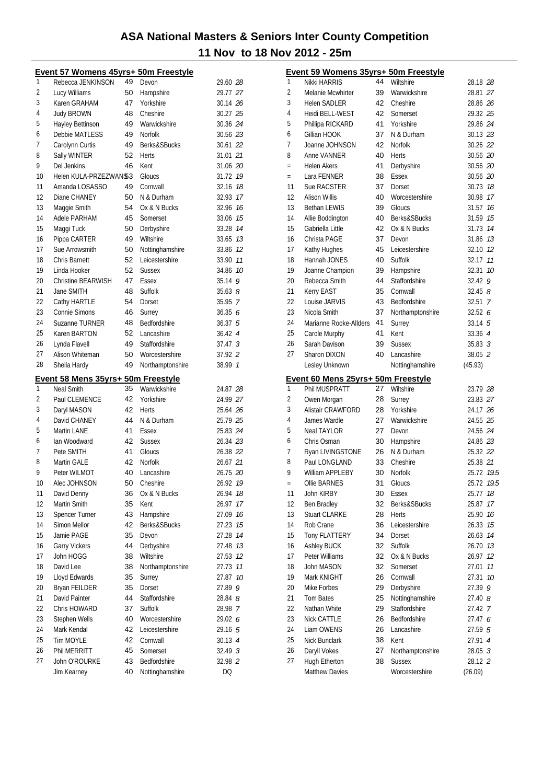|    | Event 57 Womens 45yrs+ 50m Freestyle |          |                                 |                    |    |
|----|--------------------------------------|----------|---------------------------------|--------------------|----|
| 1  | Rebecca JENKINSON                    | 49       | Devon                           | 29.60 28           |    |
| 2  | Lucy Williams                        | 50       | Hampshire                       | 29.77 27           |    |
| 3  | Karen GRAHAM                         | 47       | Yorkshire                       | 30.14 26           |    |
| 4  | <b>Judy BROWN</b>                    | 48       | Cheshire                        | 30.27 25           |    |
| 5  | Hayley Bettinson                     | 49       | Warwickshire                    | 30.36 24           |    |
| 6  | Debbie MATLESS                       | 49       | <b>Norfolk</b>                  | 30.56 23           |    |
| 7  | Carolynn Curtis                      | 49       | Berks&SBucks                    | 30.61 22           |    |
| 8  | Sally WINTER                         | 52       | Herts                           | 31.01 21           |    |
| 9  | Del Jenkins                          | 46       | Kent                            | 31.06 20           |    |
| 10 | Helen KULA-PRZEZWAN\$3               |          | Gloucs                          | 31.72 19           |    |
| 11 | Amanda LOSASSO                       | 49       | Cornwall                        | 32.16 18           |    |
| 12 | Diane CHANEY                         | 50       | N & Durham                      | 32.93 17           |    |
| 13 | Maggie Smith                         | 54       | Ox & N Bucks                    | 32.96 16           |    |
| 14 | Adele PARHAM                         | 45       | Somerset                        | 33.06 75           |    |
| 15 | Maggi Tuck                           | 50       | Derbyshire                      | 33.28 74           |    |
| 16 | Pippa CARTER                         | 49       | Wiltshire                       | 33.65 73           |    |
| 17 | Sue Arrowsmith                       | 50       | Nottinghamshire                 | 33.86 12           |    |
| 18 | Chris Barnett                        | 52       | Leicestershire                  | 33.90 11           |    |
| 19 | Linda Hooker                         | 52       | <b>Sussex</b>                   | 34.86 10           |    |
| 20 | Christine BEARWISH                   | 47       | Essex                           | 35.14              | 9  |
| 21 | Jane SMITH                           | 48       | Suffolk                         | $35.63$ $8$        |    |
| 22 | Cathy HARTLE                         | 54       | Dorset                          | 35.95 7            |    |
| 23 | Connie Simons                        | 46       | Surrey                          | 36.356             |    |
| 24 | Suzanne TURNER                       | 48       | Bedfordshire                    | 36.37 5            |    |
| 25 | Karen BARTON                         | 52       | Lancashire                      | 36.42 4            |    |
| 26 | Lynda Flavell                        | 49       | Staffordshire                   | 37.47 <sup>3</sup> |    |
| 27 | Alison Whiteman                      | 50       | Worcestershire                  | 37.92 2            |    |
| 28 | Sheila Hardy                         | 49       | Northamptonshire                | 38.99 1            |    |
|    |                                      |          |                                 |                    |    |
|    | Event 58 Mens 35yrs+ 50m Freestyle   |          |                                 |                    |    |
| 1  | <b>Neal Smith</b>                    | 35       | Warwickshire                    | 24.87 28           |    |
| 2  | Paul CLEMENCE                        | 42       | Yorkshire                       | 24.99 27           |    |
| 3  | Daryl MASON                          | 42       | Herts                           | 25.64 26           |    |
| 4  | David CHANEY                         | 44       | N & Durham                      | 25.79 25           |    |
| 5  | Martin LANE                          | 41       | Essex                           | 25.83 24           |    |
| 6  | Ian Woodward                         | 42       | <b>Sussex</b>                   | 26.34 23           |    |
| 7  | Pete SMITH                           | 41       | Gloucs                          | 26.38 22           |    |
| 8  | Martin GALE                          | 42       | <b>Norfolk</b>                  | 26.67 21           |    |
| 9  | Peter WILMOT                         | 40       | Lancashire                      | 26.75 20           |    |
| 10 | Alec JOHNSON                         |          | 50 Cheshire                     | 26.92 19           |    |
| 11 | David Denny                          | 36       | Ox & N Bucks                    | 26.94              | 18 |
| 12 | Martin Smith                         | 35       | Kent                            | 26.97              | 17 |
| 13 | <b>Spencer Turner</b>                | 43       | Hampshire                       | 27.09              | 16 |
| 14 | Simon Mellor                         | 42       | Berks&SBucks                    | 27.23              | 15 |
| 15 | Jamie PAGE                           | 35       | Devon                           | 27.28              | 14 |
| 16 | <b>Garry Vickers</b>                 | 44       | Derbyshire                      | 27.48 13           |    |
| 17 | John HOGG                            | 38       | Wiltshire                       | 27.53              | 12 |
| 18 | David Lee                            | 38       | Northamptonshire                | 27.73              | 11 |
| 19 | Lloyd Edwards                        | 35       | Surrey                          | 27.87              | 10 |
| 20 | Bryan FEILDER                        | 35       | Dorset                          | 27.89              | 9  |
| 21 | David Painter                        | 44       | Staffordshire                   | 28.84 <i>8</i>     |    |
| 22 | Chris HOWARD                         | 37       | Suffolk                         | 28.98 7            |    |
| 23 | Stephen Wells                        | 40       | Worcestershire                  | 29.02 6            |    |
| 24 | Mark Kendal                          | 42       | Leicestershire                  | 29.16 5            |    |
| 25 | Tim MOYLE                            | 42       | Cornwall                        | 30.13 4            |    |
| 26 | Phil MERRITT                         | 45       | Somerset                        | 32.49 <sup>3</sup> |    |
| 27 | John O'ROURKE<br>Jim Kearney         | 43<br>40 | Bedfordshire<br>Nottinghamshire | 32.98 2<br>DQ      |    |

|     | Event 59 Womens 35yrs+ 50m Freestyle |    |                  |                    |    |
|-----|--------------------------------------|----|------------------|--------------------|----|
| 1   | Nikki HARRIS                         | 44 | Wiltshire        | 28.18 28           |    |
| 2   | Melanie Mcwhirter                    | 39 | Warwickshire     | 28.81 27           |    |
| 3   | <b>Helen SADLER</b>                  | 42 | Cheshire         | 28.86 26           |    |
| 4   | Heidi BELL-WEST                      | 42 | Somerset         | 29.32 25           |    |
| 5   | Phillipa RICKARD                     | 41 | Yorkshire        | 29.86 24           |    |
| 6   | Gillian HOOK                         | 37 | N & Durham       | 30.13 23           |    |
| 7   | Joanne JOHNSON                       | 42 | Norfolk          | 30.26 22           |    |
| 8   | Anne VANNER                          | 40 | Herts            | 30.56 20           |    |
| $=$ | <b>Helen Akers</b>                   | 41 | Derbyshire       | 30.56 20           |    |
| $=$ | Lara FENNER                          | 38 | Essex            | 30.56 20           |    |
| 11  | Sue RACSTER                          | 37 | Dorset           | 30.73 18           |    |
| 12  | <b>Alison Willis</b>                 | 40 | Worcestershire   | 30.98 17           |    |
| 13  | <b>Bethan LEWIS</b>                  | 39 | Gloucs           | 31.57 16           |    |
| 14  | Allie Boddington                     | 40 | Berks&SBucks     | 31.59 15           |    |
| 15  | Gabriella Little                     | 42 | Ox & N Bucks     | 31.73 14           |    |
| 16  | Christa PAGE                         | 37 | Devon            | 31.86 73           |    |
| 17  | Kathy Hughes                         | 45 | Leicestershire   | 32.10 12           |    |
| 18  | Hannah JONES                         | 40 | Suffolk          | 32.17 11           |    |
| 19  | Joanne Champion                      | 39 | Hampshire        | 32.31              | 10 |
| 20  | Rebecca Smith                        | 44 | Staffordshire    | 32.42 9            |    |
| 21  |                                      | 35 | Cornwall         |                    |    |
|     | Kerry EAST                           |    |                  | $32.45$ $8$        |    |
| 22  | Louise JARVIS                        | 43 | Bedfordshire     | $32.51 \quad 7$    |    |
| 23  | Nicola Smith                         | 37 | Northamptonshire | 32.526             |    |
| 24  | Marianne Rooke-Allders               | 41 | Surrey           | $33.14 \;\; 5$     |    |
| 25  | Carole Murphy                        | 41 | Kent             | 33.36 4            |    |
| 26  | Sarah Davison                        | 39 | <b>Sussex</b>    | $35.83 \t3$        |    |
| 27  | Sharon DIXON                         | 40 | Lancashire       | 38.05 2            |    |
|     | Lesley Unknown                       |    | Nottinghamshire  | (45.93)            |    |
|     | Event 60 Mens 25yrs+ 50m Freestyle   |    |                  |                    |    |
| 1   | Phil MUSPRATT                        | 27 | Wiltshire        | 23.79 28           |    |
| 2   | Owen Morgan                          | 28 | Surrey           | 23.83 27           |    |
| 3   | <b>Alistair CRAWFORD</b>             | 28 | Yorkshire        | 24.17 26           |    |
| 4   | James Wardle                         | 27 | Warwickshire     | 24.55 25           |    |
| 5   | <b>Neal TAYLOR</b>                   | 27 | Devon            | 24.56 24           |    |
| 6   | Chris Osman                          | 30 | Hampshire        | 24.86 23           |    |
| 7   | Ryan LIVINGSTONE                     | 26 | N & Durham       | 25.32 22           |    |
| 8   | Paul LONGLAND                        | 33 | Cheshire         | 25.38 21           |    |
| 9   | William APPLEBY                      | 30 | Norfolk          | 25.72 19.5         |    |
| $=$ | Ollie BARNES                         | 31 | Gloucs           | 25.72 19.5         |    |
| 11  | John KIRBY                           | 30 | <b>Essex</b>     | 25.77              | 18 |
| 12  | <b>Ben Bradley</b>                   | 32 | Berks&SBucks     | 25.87              | 17 |
| 13  | Stuart CLARKE                        | 28 | <b>Herts</b>     | 25.90              | 16 |
| 14  | Rob Crane                            | 36 | Leicestershire   | 26.33 75           |    |
| 15  | <b>Tony FLATTERY</b>                 |    |                  | 26.63 14           |    |
|     |                                      | 34 | Dorset           |                    |    |
| 16  | <b>Ashley BUCK</b>                   | 32 | Suffolk          | 26.70 13           |    |
| 17  | Peter Williams                       | 32 | Ox & N Bucks     | 26.97              | 12 |
| 18  | John MASON                           | 32 | Somerset         | 27.01              | 11 |
| 19  | Mark KNIGHT                          | 26 | Cornwall         | 27.31              | 10 |
| 20  | Mike Forbes                          | 29 | Derbyshire       | 27.39              | 9  |
| 21  | <b>Tom Bates</b>                     | 25 | Nottinghamshire  | 27.40 8            |    |
| 22  | Nathan White                         | 29 | Staffordshire    | 27.42 7            |    |
| 23  | Nick CATTLE                          | 26 | Bedfordshire     | 27.47 6            |    |
| 24  | Liam OWENS                           | 26 | Lancashire       | 27.59 5            |    |
| 25  | Nick Bunclark                        | 38 | Kent             | 27.91 4            |    |
| 26  | Daryll Vokes                         | 27 | Northamptonshire | 28.05 <sup>3</sup> |    |
| 27  | Hugh Etherton                        | 38 | Sussex           | 28.12 2            |    |
|     | <b>Matthew Davies</b>                |    | Worcestershire   | (26.09)            |    |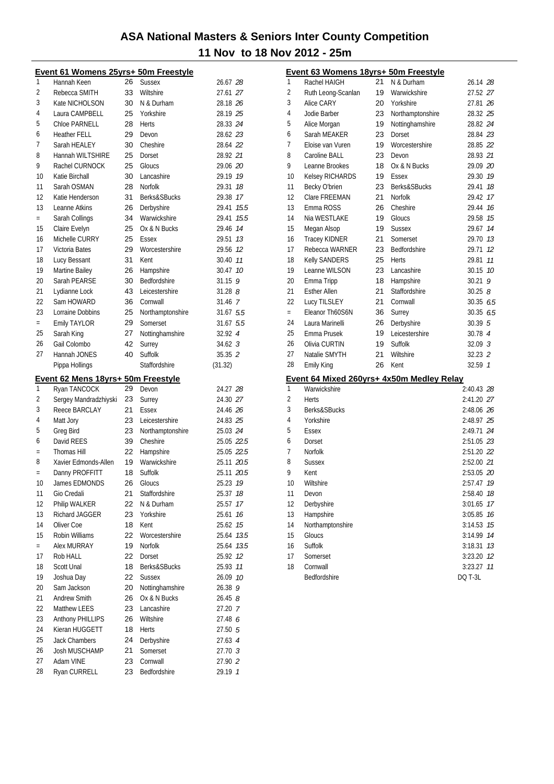|              | Event 61 Womens 25yrs+ 50m Freestyle |          |                          |                    |                | Event 63 Womens 18yrs+ 50m Freestyle      |    |                  |                    |  |
|--------------|--------------------------------------|----------|--------------------------|--------------------|----------------|-------------------------------------------|----|------------------|--------------------|--|
| $\mathbf{1}$ | Hannah Keen                          | 26       | <b>Sussex</b>            | 26.67 28           | 1              | Rachel HAIGH                              | 21 | N & Durham       | 26.14 28           |  |
| 2            | Rebecca SMITH                        | 33       | Wiltshire                | 27.61 27           | $\overline{2}$ | Ruth Leong-Scanlan                        | 19 | Warwickshire     | 27.52 27           |  |
| 3            | Kate NICHOLSON                       | 30       | N & Durham               | 28.18 26           | 3              | Alice CARY                                | 20 | Yorkshire        | 27.81 26           |  |
| 4            | Laura CAMPBELL                       | 25       | Yorkshire                | 28.19 25           | $\overline{4}$ | Jodie Barber                              | 23 | Northamptonshire | 28.32 25           |  |
| 5            | Chloe PARNELL                        | 28       | Herts                    | 28.33 24           | 5              | Alice Morgan                              | 19 | Nottinghamshire  | 28.82 24           |  |
| 6            | <b>Heather FELL</b>                  | 29       | Devon                    | 28.62 23           | 6              | Sarah MEAKER                              | 23 | Dorset           | 28.84 23           |  |
| 7            | Sarah HEALEY                         | 30       | Cheshire                 | 28.64 22           | 7              | Eloise van Vuren                          | 19 | Worcestershire   | 28.85 22           |  |
| 8            | Hannah WILTSHIRE                     | 25       | Dorset                   | 28.92 21           | 8              | Caroline BALL                             | 23 | Devon            | 28.93 21           |  |
| 9            | Rachel CURNOCK                       | 25       | Gloucs                   | 29.06 20           | 9              | Leanne Brookes                            | 18 | Ox & N Bucks     | 29.09 20           |  |
| 10           | Katie Birchall                       | 30       | Lancashire               | 29.19 19           | 10             | <b>Kelsey RICHARDS</b>                    | 19 | Essex            | 29.30 19           |  |
| 11           | Sarah OSMAN                          | 28       | Norfolk                  | 29.31 18           | 11             | Becky O'brien                             | 23 | Berks&SBucks     | 29.41 18           |  |
| 12           | Katie Henderson                      | 31       | Berks&SBucks             | 29.38 17           | 12             | Clare FREEMAN                             | 21 | <b>Norfolk</b>   | 29.42 17           |  |
| 13           | Leanne Atkins                        | 26       | Derbyshire               | 29.41 15.5         | 13             | Emma ROSS                                 | 26 | Cheshire         | 29.44 16           |  |
| $=$          | Sarah Collings                       | 34       | Warwickshire             | 29.41 15.5         | 14             | Nia WESTLAKE                              | 19 | Gloucs           | 29.58 15           |  |
| 15           | Claire Evelyn                        | 25       | Ox & N Bucks             | 29.46 74           | 15             | Megan Alsop                               | 19 | <b>Sussex</b>    | 29.67 14           |  |
| 16           | Michelle CURRY                       | 25       | Essex                    | 29.51 13           | 16             | <b>Tracey KIDNER</b>                      | 21 | Somerset         | 29.70 13           |  |
| 17           | Victoria Bates                       | 29       | Worcestershire           | 29.56 12           | 17             | Rebecca WARNER                            | 23 | Bedfordshire     | 29.71 12           |  |
| 18           | Lucy Bessant                         | 31       | Kent                     | 30.40 77           | 18             | <b>Kelly SANDERS</b>                      | 25 | Herts            | 29.81 11           |  |
| 19           | Martine Bailey                       | 26       | Hampshire                | 30.47 10           | 19             | Leanne WILSON                             | 23 | Lancashire       | 30.15 10           |  |
| 20           | Sarah PEARSE                         | 30       | Bedfordshire             | $31.15$ 9          | 20             | Emma Tripp                                | 18 | Hampshire        | $30.21$ 9          |  |
| 21           | Lydianne Lock                        | 43       | Leicestershire           | $31.28$ $8$        | 21             | <b>Esther Allen</b>                       | 21 | Staffordshire    | 30.258             |  |
| 22           | Sam HOWARD                           | 36       | Cornwall                 | 31.46 7            | 22             | Lucy TILSLEY                              | 21 | Cornwall         | 30.3566.5          |  |
| 23           | Lorraine Dobbins                     | 25       | Northamptonshire         | 31.67 5.5          | $\equiv$       | Eleanor Th60S6N                           | 36 | Surrey           | 30.35 6.5          |  |
| $=$          | Emily TAYLOR                         | 29       | Somerset                 | 31.67 5.5          | 24             | Laura Marinelli                           | 26 | Derbyshire       | 30.39 5            |  |
| 25           | Sarah King                           | 27       | Nottinghamshire          | 32.92 4            | 25             | Emma Prusek                               | 19 | Leicestershire   | 30.78 4            |  |
| 26           | Gail Colombo                         | 42       | Surrey                   | 34.62 <sup>3</sup> | 26             | Olivia CURTIN                             | 19 | Suffolk          | 32.09 <sup>3</sup> |  |
| 27           | Hannah JONES                         | 40       | Suffolk                  | 35.35 2            | 27             | Natalie SMYTH                             | 21 | Wiltshire        | 32.23 2            |  |
|              | Pippa Hollings                       |          | Staffordshire            | (31.32)            | 28             | <b>Emily King</b>                         | 26 | Kent             | 32.59 1            |  |
|              |                                      |          |                          |                    |                |                                           |    |                  |                    |  |
|              |                                      |          |                          |                    |                |                                           |    |                  |                    |  |
|              | Event 62 Mens 18yrs+ 50m Freestyle   |          |                          |                    |                | Event 64 Mixed 260yrs+ 4x50m Medley Relay |    |                  |                    |  |
| $\mathbf{1}$ | Ryan TANCOCK                         | 29       | Devon                    | 24.27 28           | $\mathbf{1}$   | Warwickshire                              |    |                  | 2:40.43 28         |  |
| 2            | Sergey Mandradzhiyski                | 23       | Surrey                   | 24.30 27           | $\overline{2}$ | Herts                                     |    |                  | 2:41.20 27         |  |
| 3            | Reece BARCLAY                        | 21       | Essex                    | 24.46 26           | 3              | Berks&SBucks                              |    |                  | 2:48.06 26         |  |
| 4            | Matt Jory                            | 23       | Leicestershire           | 24.83 25           | 4              | Yorkshire                                 |    |                  | 2:48.97 25         |  |
| 5            | Greg Bird                            | 23       | Northamptonshire         | 25.03 24           | 5              | Essex                                     |    |                  | 2:49.71 24         |  |
| 6            | David REES                           | 39       | Cheshire                 | 25.05 22.5         | 6              | Dorset                                    |    |                  | 2:51.05 23         |  |
| $=$          | Thomas Hill                          | 22       | Hampshire                | 25.05 22.5         | 7              | Norfolk                                   |    |                  | 2:51.20 22         |  |
| 8<br>$=$     | Xavier Edmonds-Allen                 | 19       | Warwickshire             | 25.11 20.5         | 8              | <b>Sussex</b>                             |    |                  | 2:52.00 21         |  |
|              | Danny PROFFITT                       | 18       | Suffolk                  | 25.11 20.5         | 9              | Kent                                      |    |                  | 2:53.05 20         |  |
| 10           | James EDMONDS                        | 26       | Gloucs                   | 25.23 19           | 10             | Wiltshire                                 |    |                  | 2:57.47 19         |  |
| 11           | Gio Credali                          | 21       | Staffordshire            | 25.37 18           | 11             | Devon                                     |    |                  | 2:58.40 78         |  |
| 12           | Philip WALKER                        | 22       | N & Durham               | 25.57 17           | 12             | Derbyshire                                |    |                  | 3:01.65 17         |  |
| 13           | Richard JAGGER                       | 23       | Yorkshire                | 25.61 16           | 13             | Hampshire                                 |    |                  | 3:05.85 76         |  |
| 14           | Oliver Coe                           | 18       | Kent                     | 25.62 75           | 14             | Northamptonshire                          |    |                  | 3:14.53 75         |  |
| 15<br>$=$    | Robin Williams                       | 22       | Worcestershire           | 25.64 73.5         | 15             | Gloucs                                    |    |                  | 3:14.99 74         |  |
|              | Alex MURRAY                          | 19       | Norfolk                  | 25.64 13.5         | 16             | Suffolk                                   |    |                  | 3:18.31 13         |  |
| 17           | Rob HALL                             | 22       | Dorset                   | 25.92 12           | 17<br>18       | Somerset                                  |    |                  | 3:23.20 12         |  |
| 18           | Scott Unal                           | 18       | Berks&SBucks             | 25.93 11           |                | Cornwall                                  |    |                  | 3:23.27 11         |  |
| 19<br>20     | Joshua Day                           | 22       | Sussex                   | 26.09 10           |                | Bedfordshire                              |    |                  | <b>DQ T-3L</b>     |  |
|              | Sam Jackson                          | 20       | Nottinghamshire          | 26.38 9            |                |                                           |    |                  |                    |  |
| 21           | Andrew Smith                         | 26       | Ox & N Bucks             | 26.45 8            |                |                                           |    |                  |                    |  |
| 22           | Matthew LEES                         | 23       | Lancashire               | 27.20 7            |                |                                           |    |                  |                    |  |
| 23           | Anthony PHILLIPS                     | 26       | Wiltshire                | 27.48 6            |                |                                           |    |                  |                    |  |
| 24           | Kieran HUGGETT                       | 18       | Herts                    | 27.50 5            |                |                                           |    |                  |                    |  |
| 25           | Jack Chambers                        | 24       | Derbyshire               | 27.63 4            |                |                                           |    |                  |                    |  |
| 26           | Josh MUSCHAMP                        | 21       | Somerset                 | 27.70 3            |                |                                           |    |                  |                    |  |
| 27<br>28     | Adam VINE<br>Ryan CURRELL            | 23<br>23 | Cornwall<br>Bedfordshire | 27.90 2<br>29.19 1 |                |                                           |    |                  |                    |  |